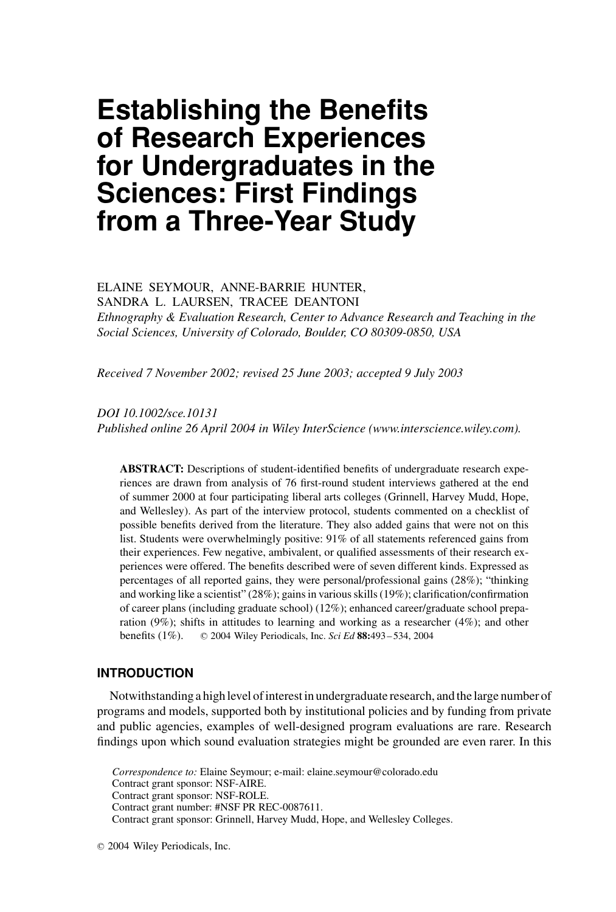# **Establishing the Benefits of Research Experiences for Undergraduates in the Sciences: First Findings from a Three-Year Study**

## ELAINE SEYMOUR, ANNE-BARRIE HUNTER,

SANDRA L. LAURSEN, TRACEE DEANTONI *Ethnography & Evaluation Research, Center to Advance Research and Teaching in the Social Sciences, University of Colorado, Boulder, CO 80309-0850, USA*

*Received 7 November 2002; revised 25 June 2003; accepted 9 July 2003*

*DOI 10.1002/sce.10131 Published online 26 April 2004 in Wiley InterScience (www.interscience.wiley.com).*

**ABSTRACT:** Descriptions of student-identified benefits of undergraduate research experiences are drawn from analysis of 76 first-round student interviews gathered at the end of summer 2000 at four participating liberal arts colleges (Grinnell, Harvey Mudd, Hope, and Wellesley). As part of the interview protocol, students commented on a checklist of possible benefits derived from the literature. They also added gains that were not on this list. Students were overwhelmingly positive: 91% of all statements referenced gains from their experiences. Few negative, ambivalent, or qualified assessments of their research experiences were offered. The benefits described were of seven different kinds. Expressed as percentages of all reported gains, they were personal/professional gains (28%); "thinking and working like a scientist" (28%); gains in various skills (19%); clarification/confirmation of career plans (including graduate school) (12%); enhanced career/graduate school preparation (9%); shifts in attitudes to learning and working as a researcher (4%); and other benefits  $(1\%)$ . <sup>C</sup> 2004 Wiley Periodicals, Inc. *Sci Ed* **88:**493– 534, 2004

#### **INTRODUCTION**

Notwithstanding a high level of interest in undergraduate research, and the large number of programs and models, supported both by institutional policies and by funding from private and public agencies, examples of well-designed program evaluations are rare. Research findings upon which sound evaluation strategies might be grounded are even rarer. In this

*Correspondence to:* Elaine Seymour; e-mail: elaine.seymour@colorado.edu Contract grant sponsor: NSF-AIRE. Contract grant sponsor: NSF-ROLE. Contract grant number: #NSF PR REC-0087611. Contract grant sponsor: Grinnell, Harvey Mudd, Hope, and Wellesley Colleges.

 $© 2004 Wiley Periodicals, Inc.$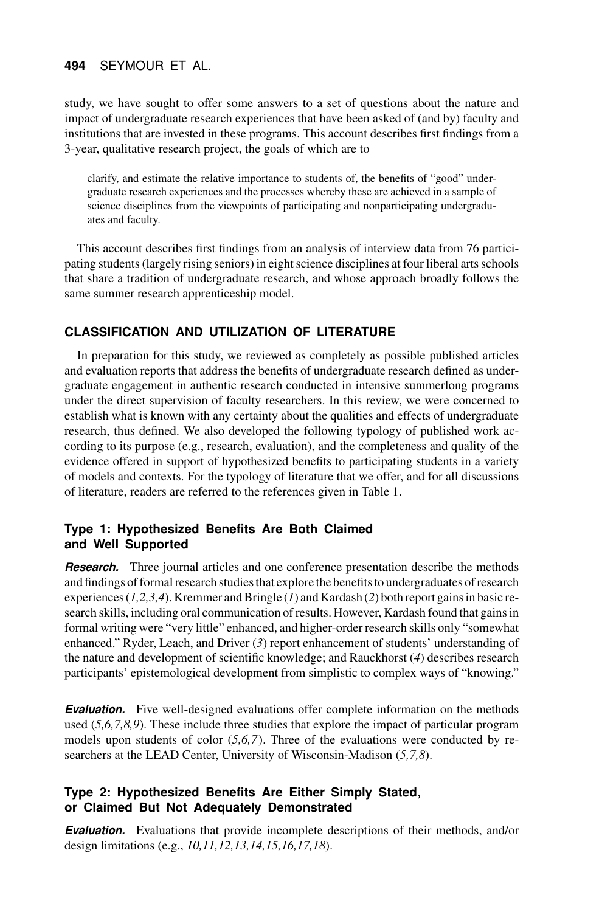study, we have sought to offer some answers to a set of questions about the nature and impact of undergraduate research experiences that have been asked of (and by) faculty and institutions that are invested in these programs. This account describes first findings from a 3-year, qualitative research project, the goals of which are to

clarify, and estimate the relative importance to students of, the benefits of "good" undergraduate research experiences and the processes whereby these are achieved in a sample of science disciplines from the viewpoints of participating and nonparticipating undergraduates and faculty.

This account describes first findings from an analysis of interview data from 76 participating students (largely rising seniors) in eight science disciplines at four liberal arts schools that share a tradition of undergraduate research, and whose approach broadly follows the same summer research apprenticeship model.

# **CLASSIFICATION AND UTILIZATION OF LITERATURE**

In preparation for this study, we reviewed as completely as possible published articles and evaluation reports that address the benefits of undergraduate research defined as undergraduate engagement in authentic research conducted in intensive summerlong programs under the direct supervision of faculty researchers. In this review, we were concerned to establish what is known with any certainty about the qualities and effects of undergraduate research, thus defined. We also developed the following typology of published work according to its purpose (e.g., research, evaluation), and the completeness and quality of the evidence offered in support of hypothesized benefits to participating students in a variety of models and contexts. For the typology of literature that we offer, and for all discussions of literature, readers are referred to the references given in Table 1.

# **Type 1: Hypothesized Benefits Are Both Claimed and Well Supported**

*Research.* Three journal articles and one conference presentation describe the methods and findings of formal research studies that explore the benefits to undergraduates of research experiences (*1,2,3,4*). Kremmer and Bringle (*1*) and Kardash (*2*) both report gains in basic research skills, including oral communication of results. However, Kardash found that gains in formal writing were "very little" enhanced, and higher-order research skills only "somewhat enhanced." Ryder, Leach, and Driver (3) report enhancement of students' understanding of the nature and development of scientific knowledge; and Rauckhorst (*4*) describes research participants' epistemological development from simplistic to complex ways of "knowing."

*Evaluation.* Five well-designed evaluations offer complete information on the methods used (*5,6,7,8,9*). These include three studies that explore the impact of particular program models upon students of color (*5,6,7*). Three of the evaluations were conducted by researchers at the LEAD Center, University of Wisconsin-Madison (*5,7,8*).

# **Type 2: Hypothesized Benefits Are Either Simply Stated, or Claimed But Not Adequately Demonstrated**

*Evaluation.* Evaluations that provide incomplete descriptions of their methods, and/or design limitations (e.g., *10,11,12,13,14,15,16,17,18*).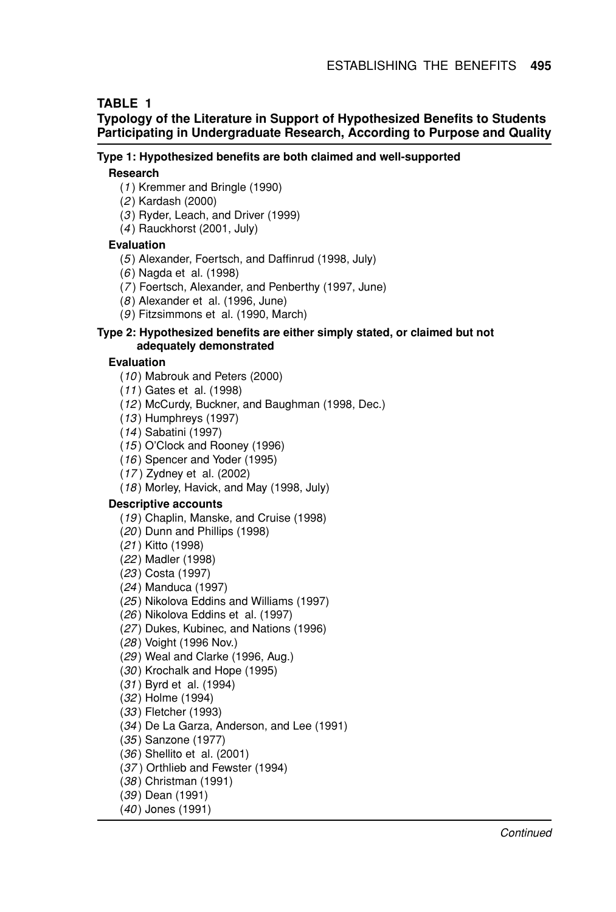# **TABLE 1**

# **Typology of the Literature in Support of Hypothesized Benefits to Students Participating in Undergraduate Research, According to Purpose and Quality**

#### **Type 1: Hypothesized benefits are both claimed and well-supported**

#### **Research**

- (*1* ) Kremmer and Bringle (1990)
- (*2* ) Kardash (2000)
- (*3* ) Ryder, Leach, and Driver (1999)
- (*4* ) Rauckhorst (2001, July)

#### **Evaluation**

- (*5* ) Alexander, Foertsch, and Daffinrud (1998, July)
- (*6* ) Nagda et al. (1998)
- (*7* ) Foertsch, Alexander, and Penberthy (1997, June)
- (*8* ) Alexander et al. (1996, June)
- (*9* ) Fitzsimmons et al. (1990, March)

#### **Type 2: Hypothesized benefits are either simply stated, or claimed but not adequately demonstrated**

#### **Evaluation**

- (*10* ) Mabrouk and Peters (2000)
- (*11* ) Gates et al. (1998)
- (*12* ) McCurdy, Buckner, and Baughman (1998, Dec.)
- (*13* ) Humphreys (1997)
- (*14* ) Sabatini (1997)
- (*15* ) O'Clock and Rooney (1996)
- (*16* ) Spencer and Yoder (1995)
- (*17* ) Zydney et al. (2002)
- (*18* ) Morley, Havick, and May (1998, July)

#### **Descriptive accounts**

- (*19* ) Chaplin, Manske, and Cruise (1998)
- (*20* ) Dunn and Phillips (1998)
- (*21* ) Kitto (1998)
- (*22* ) Madler (1998)
- (*23* ) Costa (1997)
- (*24* ) Manduca (1997)
- (*25* ) Nikolova Eddins and Williams (1997)
- (*26* ) Nikolova Eddins et al. (1997)
- (*27* ) Dukes, Kubinec, and Nations (1996)
- (*28* ) Voight (1996 Nov.)
- (*29* ) Weal and Clarke (1996, Aug.)
- (*30* ) Krochalk and Hope (1995)
- (*31* ) Byrd et al. (1994)
- (*32* ) Holme (1994)
- (*33* ) Fletcher (1993)
- (*34* ) De La Garza, Anderson, and Lee (1991)
- (*35* ) Sanzone (1977)
- (*36* ) Shellito et al. (2001)
- (*37* ) Orthlieb and Fewster (1994)
- (*38* ) Christman (1991)
- (*39* ) Dean (1991)
- (*40* ) Jones (1991)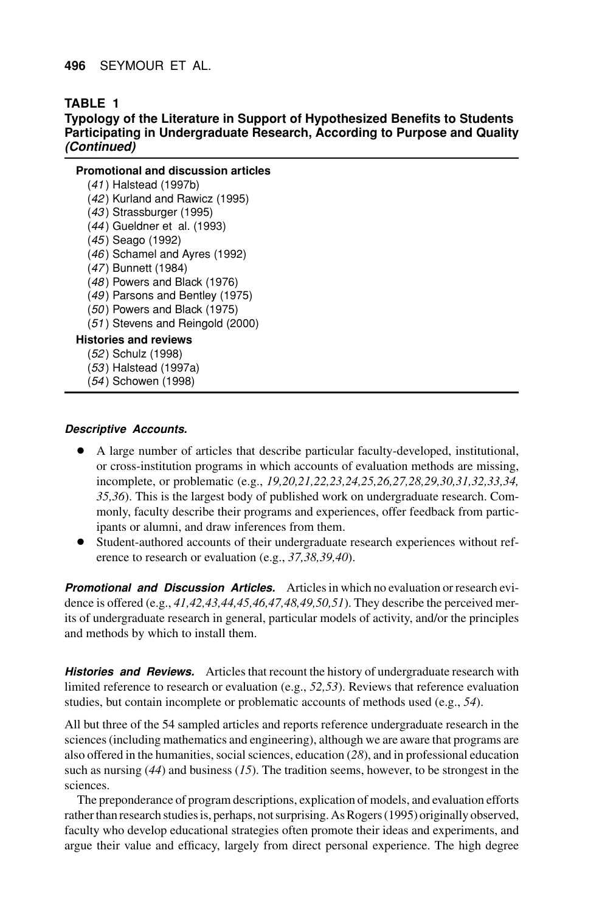# **TABLE 1**

# **Typology of the Literature in Support of Hypothesized Benefits to Students Participating in Undergraduate Research, According to Purpose and Quality** *(Continued)*

#### **Promotional and discussion articles**

(*41* ) Halstead (1997b)

- (*42* ) Kurland and Rawicz (1995)
- (*43* ) Strassburger (1995)
- (*44* ) Gueldner et al. (1993)
- (*45* ) Seago (1992)
- (*46* ) Schamel and Ayres (1992)
- (*47* ) Bunnett (1984)
- (*48* ) Powers and Black (1976)
- (*49* ) Parsons and Bentley (1975)
- (*50* ) Powers and Black (1975)
- (*51* ) Stevens and Reingold (2000)

#### **Histories and reviews**

- (*52* ) Schulz (1998)
- (*53* ) Halstead (1997a)
- (*54* ) Schowen (1998)

## *Descriptive Accounts.*

- A large number of articles that describe particular faculty-developed, institutional, or cross-institution programs in which accounts of evaluation methods are missing, incomplete, or problematic (e.g., *19,20,21,22,23,24,25,26,27,28,29,30,31,32,33,34, 35,36*). This is the largest body of published work on undergraduate research. Commonly, faculty describe their programs and experiences, offer feedback from participants or alumni, and draw inferences from them.
- Student-authored accounts of their undergraduate research experiences without reference to research or evaluation (e.g., *37,38,39,40*).

*Promotional and Discussion Articles.* Articles in which no evaluation or research evidence is offered (e.g., *41,42,43,44,45,46,47,48,49,50,51*). They describe the perceived merits of undergraduate research in general, particular models of activity, and/or the principles and methods by which to install them.

**Histories and Reviews.** Articles that recount the history of undergraduate research with limited reference to research or evaluation (e.g., *52,53*). Reviews that reference evaluation studies, but contain incomplete or problematic accounts of methods used (e.g., *54*).

All but three of the 54 sampled articles and reports reference undergraduate research in the sciences (including mathematics and engineering), although we are aware that programs are also offered in the humanities, social sciences, education (*28*), and in professional education such as nursing (*44*) and business (*15*). The tradition seems, however, to be strongest in the sciences.

The preponderance of program descriptions, explication of models, and evaluation efforts rather than research studies is, perhaps, not surprising. As Rogers (1995) originally observed, faculty who develop educational strategies often promote their ideas and experiments, and argue their value and efficacy, largely from direct personal experience. The high degree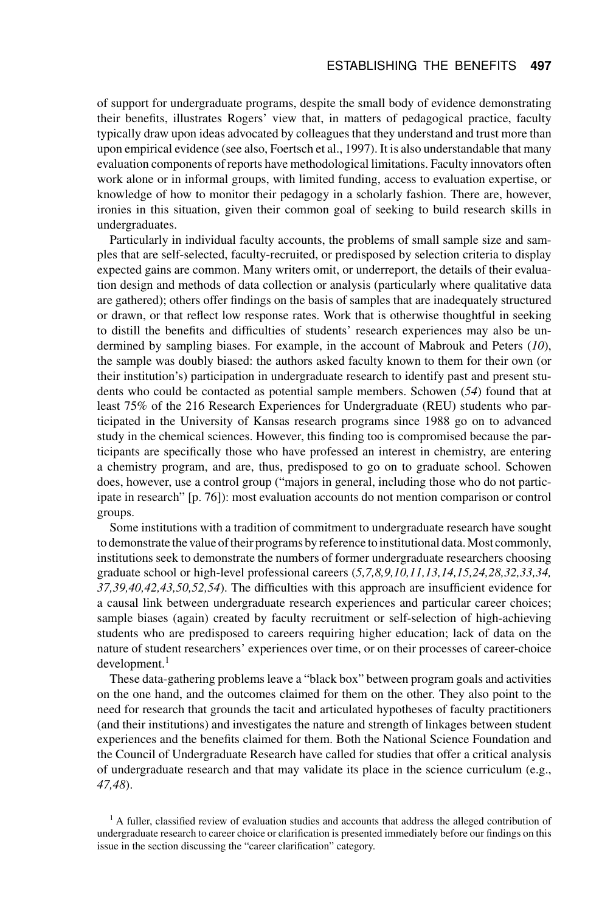of support for undergraduate programs, despite the small body of evidence demonstrating their benefits, illustrates Rogers' view that, in matters of pedagogical practice, faculty typically draw upon ideas advocated by colleagues that they understand and trust more than upon empirical evidence (see also, Foertsch et al., 1997). It is also understandable that many evaluation components of reports have methodological limitations. Faculty innovators often work alone or in informal groups, with limited funding, access to evaluation expertise, or knowledge of how to monitor their pedagogy in a scholarly fashion. There are, however, ironies in this situation, given their common goal of seeking to build research skills in undergraduates.

Particularly in individual faculty accounts, the problems of small sample size and samples that are self-selected, faculty-recruited, or predisposed by selection criteria to display expected gains are common. Many writers omit, or underreport, the details of their evaluation design and methods of data collection or analysis (particularly where qualitative data are gathered); others offer findings on the basis of samples that are inadequately structured or drawn, or that reflect low response rates. Work that is otherwise thoughtful in seeking to distill the benefits and difficulties of students' research experiences may also be undermined by sampling biases. For example, in the account of Mabrouk and Peters (*10*), the sample was doubly biased: the authors asked faculty known to them for their own (or their institution's) participation in undergraduate research to identify past and present students who could be contacted as potential sample members. Schowen (*54*) found that at least 75% of the 216 Research Experiences for Undergraduate (REU) students who participated in the University of Kansas research programs since 1988 go on to advanced study in the chemical sciences. However, this finding too is compromised because the participants are specifically those who have professed an interest in chemistry, are entering a chemistry program, and are, thus, predisposed to go on to graduate school. Schowen does, however, use a control group ("majors in general, including those who do not participate in research" [p. 76]): most evaluation accounts do not mention comparison or control groups.

Some institutions with a tradition of commitment to undergraduate research have sought to demonstrate the value of their programs by reference to institutional data. Most commonly, institutions seek to demonstrate the numbers of former undergraduate researchers choosing graduate school or high-level professional careers (*5,7,8,9,10,11,13,14,15,24,28,32,33,34, 37,39,40,42,43,50,52,54*). The difficulties with this approach are insufficient evidence for a causal link between undergraduate research experiences and particular career choices; sample biases (again) created by faculty recruitment or self-selection of high-achieving students who are predisposed to careers requiring higher education; lack of data on the nature of student researchers' experiences over time, or on their processes of career-choice  $d$ evelopment.<sup>1</sup>

These data-gathering problems leave a "black box" between program goals and activities on the one hand, and the outcomes claimed for them on the other. They also point to the need for research that grounds the tacit and articulated hypotheses of faculty practitioners (and their institutions) and investigates the nature and strength of linkages between student experiences and the benefits claimed for them. Both the National Science Foundation and the Council of Undergraduate Research have called for studies that offer a critical analysis of undergraduate research and that may validate its place in the science curriculum (e.g., *47,48*).

 $<sup>1</sup>$  A fuller, classified review of evaluation studies and accounts that address the alleged contribution of</sup> undergraduate research to career choice or clarification is presented immediately before our findings on this issue in the section discussing the "career clarification" category.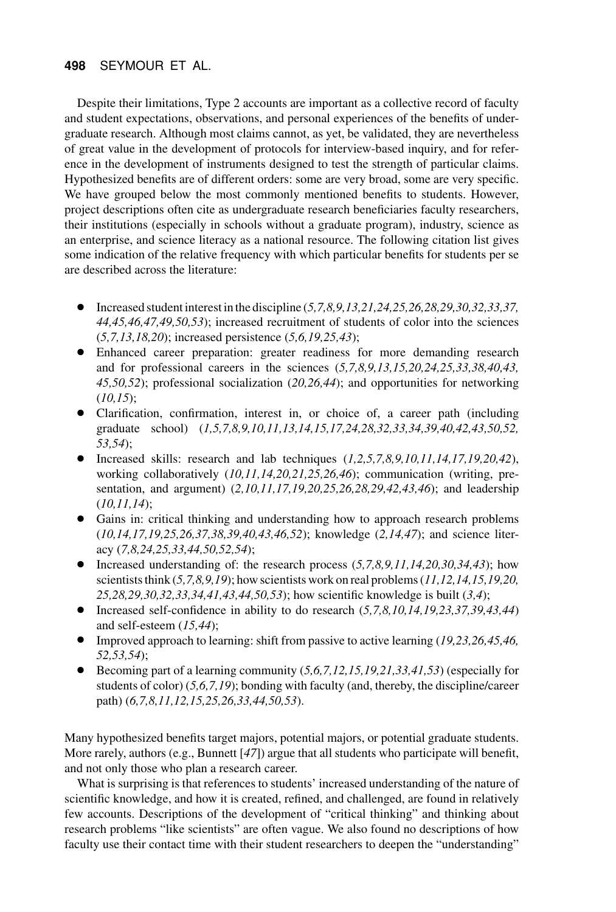Despite their limitations, Type 2 accounts are important as a collective record of faculty and student expectations, observations, and personal experiences of the benefits of undergraduate research. Although most claims cannot, as yet, be validated, they are nevertheless of great value in the development of protocols for interview-based inquiry, and for reference in the development of instruments designed to test the strength of particular claims. Hypothesized benefits are of different orders: some are very broad, some are very specific. We have grouped below the most commonly mentioned benefits to students. However, project descriptions often cite as undergraduate research beneficiaries faculty researchers, their institutions (especially in schools without a graduate program), industry, science as an enterprise, and science literacy as a national resource. The following citation list gives some indication of the relative frequency with which particular benefits for students per se are described across the literature:

- Increased student interest in the discipline (*5,7,8,9,13,21,24,25,26,28,29,30,32,33,37, 44,45,46,47,49,50,53*); increased recruitment of students of color into the sciences (*5,7,13,18,20*); increased persistence (*5,6,19,25,43*);
- Enhanced career preparation: greater readiness for more demanding research and for professional careers in the sciences (*5,7,8,9,13,15,20,24,25,33,38,40,43, 45,50,52*); professional socialization (*20,26,44*); and opportunities for networking (*10,15*);
- Clarification, confirmation, interest in, or choice of, a career path (including graduate school) (*1,5,7,8,9,10,11,13,14,15,17,24,28,32,33,34,39,40,42,43,50,52, 53,54*);
- Increased skills: research and lab techniques (*1,2,5,7,8,9,10,11,14,17,19,20,42*), working collaboratively (*10,11,14,20,21,25,26,46*); communication (writing, presentation, and argument) (*2,10,11,17,19,20,25,26,28,29,42,43,46*); and leadership (*10,11,14*);
- Gains in: critical thinking and understanding how to approach research problems (*10,14,17,19,25,26,37,38,39,40,43,46,52*); knowledge (*2,14,47*); and science literacy (*7,8,24,25,33,44,50,52,54*);
- Increased understanding of: the research process (*5,7,8,9,11,14,20,30,34,43*); how scientists think (*5,7,8,9,19*); how scientists work on real problems (*11,12,14,15,19,20, 25,28,29,30,32,33,34,41,43,44,50,53*); how scientific knowledge is built (*3,4*);
- Increased self-confidence in ability to do research (*5,7,8,10,14,19,23,37,39,43,44*) and self-esteem (*15,44*);
- Improved approach to learning: shift from passive to active learning (*19,23,26,45,46, 52,53,54*);
- Becoming part of a learning community (*5,6,7,12,15,19,21,33,41,53*) (especially for students of color) (*5,6,7,19*); bonding with faculty (and, thereby, the discipline/career path) (*6,7,8,11,12,15,25,26,33,44,50,53*).

Many hypothesized benefits target majors, potential majors, or potential graduate students. More rarely, authors (e.g., Bunnett [*47*]) argue that all students who participate will benefit, and not only those who plan a research career.

What is surprising is that references to students' increased understanding of the nature of scientific knowledge, and how it is created, refined, and challenged, are found in relatively few accounts. Descriptions of the development of "critical thinking" and thinking about research problems "like scientists" are often vague. We also found no descriptions of how faculty use their contact time with their student researchers to deepen the "understanding"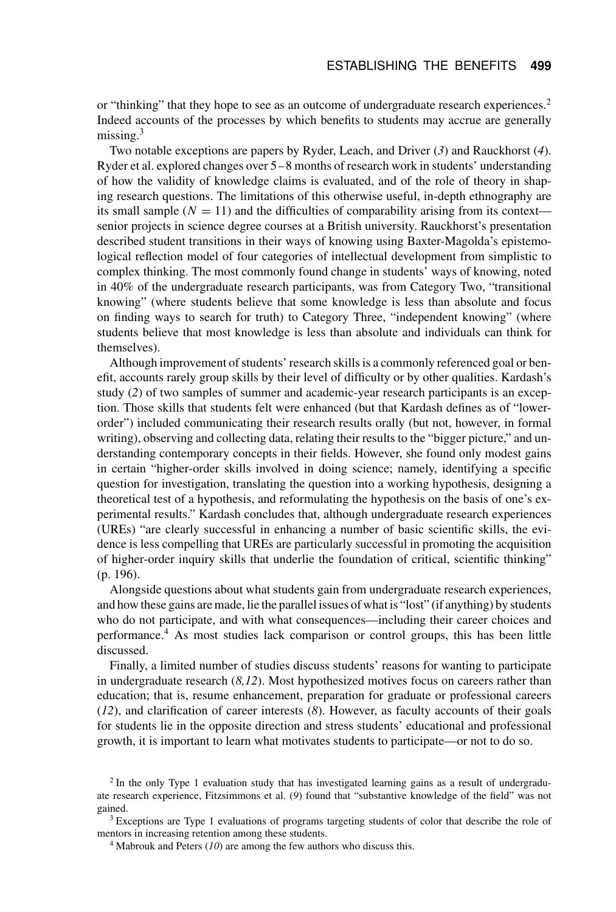or "thinking" that they hope to see as an outcome of undergraduate research experiences.<sup>2</sup> Indeed accounts of the processes by which benefits to students may accrue are generally missing.<sup>3</sup>

Two notable exceptions are papers by Ryder, Leach, and Driver (*3*) and Rauckhorst (*4*). Ryder et al. explored changes over 5–8 months of research work in students' understanding of how the validity of knowledge claims is evaluated, and of the role of theory in shaping research questions. The limitations of this otherwise useful, in-depth ethnography are its small sample  $(N = 11)$  and the difficulties of comparability arising from its context senior projects in science degree courses at a British university. Rauckhorst's presentation described student transitions in their ways of knowing using Baxter-Magolda's epistemological reflection model of four categories of intellectual development from simplistic to complex thinking. The most commonly found change in students' ways of knowing, noted in 40% of the undergraduate research participants, was from Category Two, "transitional knowing" (where students believe that some knowledge is less than absolute and focus on finding ways to search for truth) to Category Three, "independent knowing" (where students believe that most knowledge is less than absolute and individuals can think for themselves).

Although improvement of students' research skills is a commonly referenced goal or benefit, accounts rarely group skills by their level of difficulty or by other qualities. Kardash's study (*2*) of two samples of summer and academic-year research participants is an exception. Those skills that students felt were enhanced (but that Kardash defines as of "lowerorder") included communicating their research results orally (but not, however, in formal writing), observing and collecting data, relating their results to the "bigger picture," and understanding contemporary concepts in their fields. However, she found only modest gains in certain "higher-order skills involved in doing science; namely, identifying a specific question for investigation, translating the question into a working hypothesis, designing a theoretical test of a hypothesis, and reformulating the hypothesis on the basis of one's experimental results." Kardash concludes that, although undergraduate research experiences (UREs) "are clearly successful in enhancing a number of basic scientific skills, the evidence is less compelling that UREs are particularly successful in promoting the acquisition of higher-order inquiry skills that underlie the foundation of critical, scientific thinking" (p. 196).

Alongside questions about what students gain from undergraduate research experiences, and how these gains are made, lie the parallel issues of what is "lost" (if anything) by students who do not participate, and with what consequences—including their career choices and performance.4 As most studies lack comparison or control groups, this has been little discussed.

Finally, a limited number of studies discuss students' reasons for wanting to participate in undergraduate research (*8,12*). Most hypothesized motives focus on careers rather than education; that is, resume enhancement, preparation for graduate or professional careers (*12*), and clarification of career interests (*8*). However, as faculty accounts of their goals for students lie in the opposite direction and stress students' educational and professional growth, it is important to learn what motivates students to participate—or not to do so.

<sup>2</sup> In the only Type 1 evaluation study that has investigated learning gains as a result of undergraduate research experience, Fitzsimmons et al. (*9*) found that "substantive knowledge of the field" was not gained.

<sup>&</sup>lt;sup>3</sup> Exceptions are Type 1 evaluations of programs targeting students of color that describe the role of mentors in increasing retention among these students.

<sup>4</sup> Mabrouk and Peters (*10*) are among the few authors who discuss this.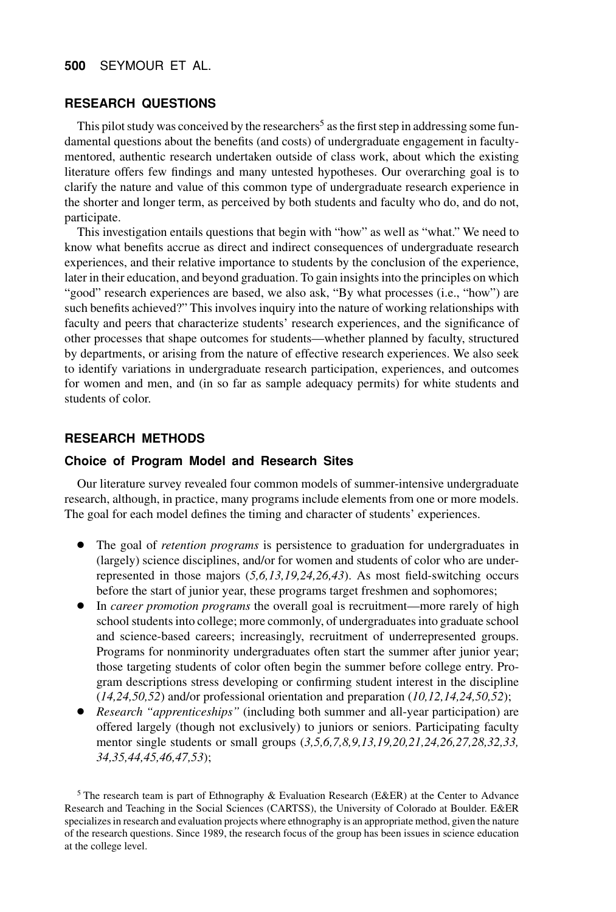#### **RESEARCH QUESTIONS**

This pilot study was conceived by the researchers<sup>5</sup> as the first step in addressing some fundamental questions about the benefits (and costs) of undergraduate engagement in facultymentored, authentic research undertaken outside of class work, about which the existing literature offers few findings and many untested hypotheses. Our overarching goal is to clarify the nature and value of this common type of undergraduate research experience in the shorter and longer term, as perceived by both students and faculty who do, and do not, participate.

This investigation entails questions that begin with "how" as well as "what." We need to know what benefits accrue as direct and indirect consequences of undergraduate research experiences, and their relative importance to students by the conclusion of the experience, later in their education, and beyond graduation. To gain insights into the principles on which "good" research experiences are based, we also ask, "By what processes (i.e., "how") are such benefits achieved?" This involves inquiry into the nature of working relationships with faculty and peers that characterize students' research experiences, and the significance of other processes that shape outcomes for students—whether planned by faculty, structured by departments, or arising from the nature of effective research experiences. We also seek to identify variations in undergraduate research participation, experiences, and outcomes for women and men, and (in so far as sample adequacy permits) for white students and students of color.

## **RESEARCH METHODS**

# **Choice of Program Model and Research Sites**

Our literature survey revealed four common models of summer-intensive undergraduate research, although, in practice, many programs include elements from one or more models. The goal for each model defines the timing and character of students' experiences.

- The goal of *retention programs* is persistence to graduation for undergraduates in (largely) science disciplines, and/or for women and students of color who are underrepresented in those majors (*5,6,13,19,24,26,43*). As most field-switching occurs before the start of junior year, these programs target freshmen and sophomores;
- In *career promotion programs* the overall goal is recruitment—more rarely of high school students into college; more commonly, of undergraduates into graduate school and science-based careers; increasingly, recruitment of underrepresented groups. Programs for nonminority undergraduates often start the summer after junior year; those targeting students of color often begin the summer before college entry. Program descriptions stress developing or confirming student interest in the discipline (*14,24,50,52*) and/or professional orientation and preparation (*10,12,14,24,50,52*);
- *Research "apprenticeships"* (including both summer and all-year participation) are offered largely (though not exclusively) to juniors or seniors. Participating faculty mentor single students or small groups (*3,5,6,7,8,9,13,19,20,21,24,26,27,28,32,33, 34,35,44,45,46,47,53*);

<sup>5</sup> The research team is part of Ethnography & Evaluation Research (E&ER) at the Center to Advance Research and Teaching in the Social Sciences (CARTSS), the University of Colorado at Boulder. E&ER specializes in research and evaluation projects where ethnography is an appropriate method, given the nature of the research questions. Since 1989, the research focus of the group has been issues in science education at the college level.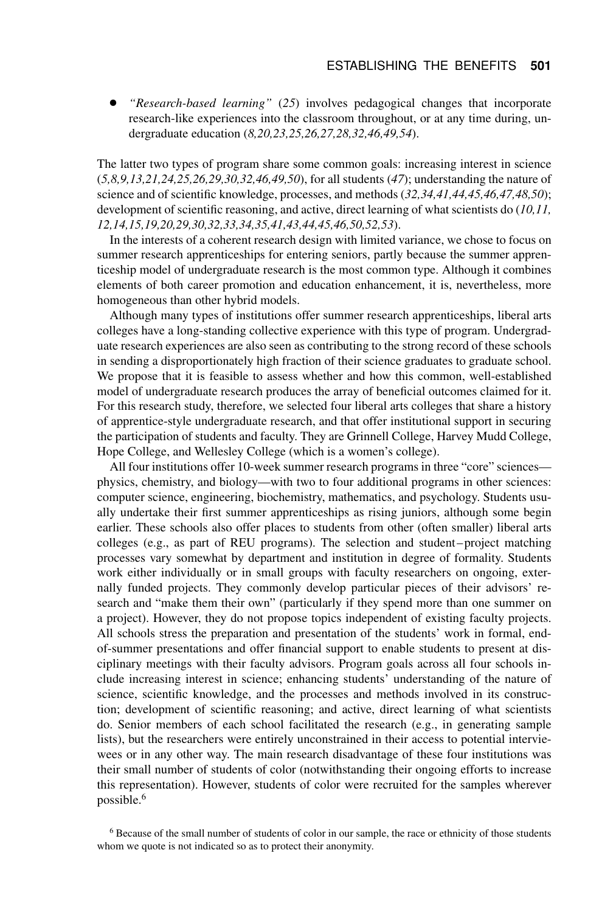• *"Research-based learning"* (*25*) involves pedagogical changes that incorporate research-like experiences into the classroom throughout, or at any time during, undergraduate education (*8,20,23,25,26,27,28,32,46,49,54*).

The latter two types of program share some common goals: increasing interest in science (*5,8,9,13,21,24,25,26,29,30,32,46,49,50*), for all students (*47*); understanding the nature of science and of scientific knowledge, processes, and methods (*32,34,41,44,45,46,47,48,50*); development of scientific reasoning, and active, direct learning of what scientists do (*10,11, 12,14,15,19,20,29,30,32,33,34,35,41,43,44,45,46,50,52,53*).

In the interests of a coherent research design with limited variance, we chose to focus on summer research apprenticeships for entering seniors, partly because the summer apprenticeship model of undergraduate research is the most common type. Although it combines elements of both career promotion and education enhancement, it is, nevertheless, more homogeneous than other hybrid models.

Although many types of institutions offer summer research apprenticeships, liberal arts colleges have a long-standing collective experience with this type of program. Undergraduate research experiences are also seen as contributing to the strong record of these schools in sending a disproportionately high fraction of their science graduates to graduate school. We propose that it is feasible to assess whether and how this common, well-established model of undergraduate research produces the array of beneficial outcomes claimed for it. For this research study, therefore, we selected four liberal arts colleges that share a history of apprentice-style undergraduate research, and that offer institutional support in securing the participation of students and faculty. They are Grinnell College, Harvey Mudd College, Hope College, and Wellesley College (which is a women's college).

All four institutions offer 10-week summer research programs in three "core" sciences physics, chemistry, and biology—with two to four additional programs in other sciences: computer science, engineering, biochemistry, mathematics, and psychology. Students usually undertake their first summer apprenticeships as rising juniors, although some begin earlier. These schools also offer places to students from other (often smaller) liberal arts colleges (e.g., as part of REU programs). The selection and student–project matching processes vary somewhat by department and institution in degree of formality. Students work either individually or in small groups with faculty researchers on ongoing, externally funded projects. They commonly develop particular pieces of their advisors' research and "make them their own" (particularly if they spend more than one summer on a project). However, they do not propose topics independent of existing faculty projects. All schools stress the preparation and presentation of the students' work in formal, endof-summer presentations and offer financial support to enable students to present at disciplinary meetings with their faculty advisors. Program goals across all four schools include increasing interest in science; enhancing students' understanding of the nature of science, scientific knowledge, and the processes and methods involved in its construction; development of scientific reasoning; and active, direct learning of what scientists do. Senior members of each school facilitated the research (e.g., in generating sample lists), but the researchers were entirely unconstrained in their access to potential interviewees or in any other way. The main research disadvantage of these four institutions was their small number of students of color (notwithstanding their ongoing efforts to increase this representation). However, students of color were recruited for the samples wherever possible.<sup>6</sup>

<sup>6</sup> Because of the small number of students of color in our sample, the race or ethnicity of those students whom we quote is not indicated so as to protect their anonymity.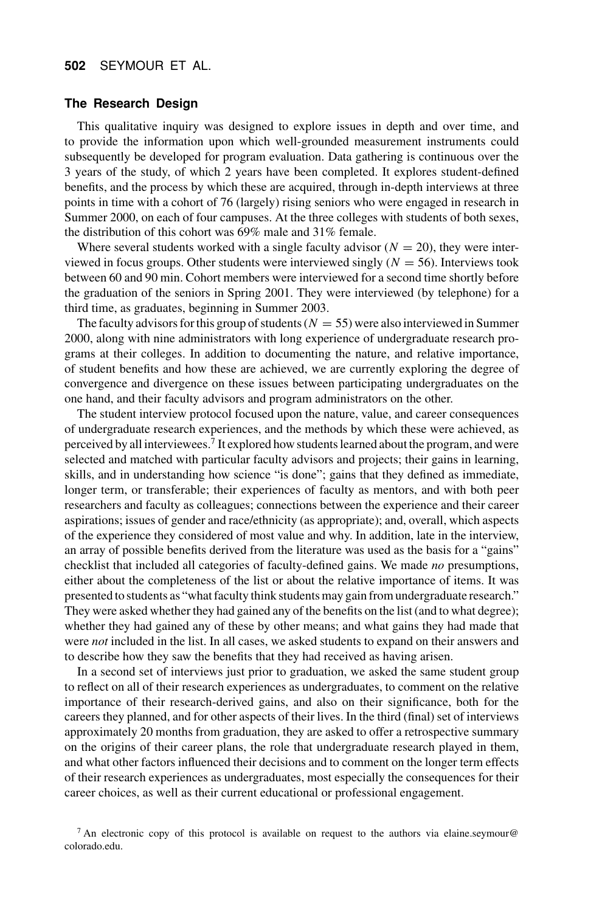#### **The Research Design**

This qualitative inquiry was designed to explore issues in depth and over time, and to provide the information upon which well-grounded measurement instruments could subsequently be developed for program evaluation. Data gathering is continuous over the 3 years of the study, of which 2 years have been completed. It explores student-defined benefits, and the process by which these are acquired, through in-depth interviews at three points in time with a cohort of 76 (largely) rising seniors who were engaged in research in Summer 2000, on each of four campuses. At the three colleges with students of both sexes, the distribution of this cohort was 69% male and 31% female.

Where several students worked with a single faculty advisor  $(N = 20)$ , they were interviewed in focus groups. Other students were interviewed singly  $(N = 56)$ . Interviews took between 60 and 90 min. Cohort members were interviewed for a second time shortly before the graduation of the seniors in Spring 2001. They were interviewed (by telephone) for a third time, as graduates, beginning in Summer 2003.

The faculty advisors for this group of students  $(N = 55)$  were also interviewed in Summer 2000, along with nine administrators with long experience of undergraduate research programs at their colleges. In addition to documenting the nature, and relative importance, of student benefits and how these are achieved, we are currently exploring the degree of convergence and divergence on these issues between participating undergraduates on the one hand, and their faculty advisors and program administrators on the other.

The student interview protocol focused upon the nature, value, and career consequences of undergraduate research experiences, and the methods by which these were achieved, as perceived by all interviewees.<sup>7</sup> It explored how students learned about the program, and were selected and matched with particular faculty advisors and projects; their gains in learning, skills, and in understanding how science "is done"; gains that they defined as immediate, longer term, or transferable; their experiences of faculty as mentors, and with both peer researchers and faculty as colleagues; connections between the experience and their career aspirations; issues of gender and race/ethnicity (as appropriate); and, overall, which aspects of the experience they considered of most value and why. In addition, late in the interview, an array of possible benefits derived from the literature was used as the basis for a "gains" checklist that included all categories of faculty-defined gains. We made *no* presumptions, either about the completeness of the list or about the relative importance of items. It was presented to students as "what faculty think students may gain from undergraduate research." They were asked whether they had gained any of the benefits on the list (and to what degree); whether they had gained any of these by other means; and what gains they had made that were *not* included in the list. In all cases, we asked students to expand on their answers and to describe how they saw the benefits that they had received as having arisen.

In a second set of interviews just prior to graduation, we asked the same student group to reflect on all of their research experiences as undergraduates, to comment on the relative importance of their research-derived gains, and also on their significance, both for the careers they planned, and for other aspects of their lives. In the third (final) set of interviews approximately 20 months from graduation, they are asked to offer a retrospective summary on the origins of their career plans, the role that undergraduate research played in them, and what other factors influenced their decisions and to comment on the longer term effects of their research experiences as undergraduates, most especially the consequences for their career choices, as well as their current educational or professional engagement.

<sup>&</sup>lt;sup>7</sup> An electronic copy of this protocol is available on request to the authors via elaine.seymour@ colorado.edu.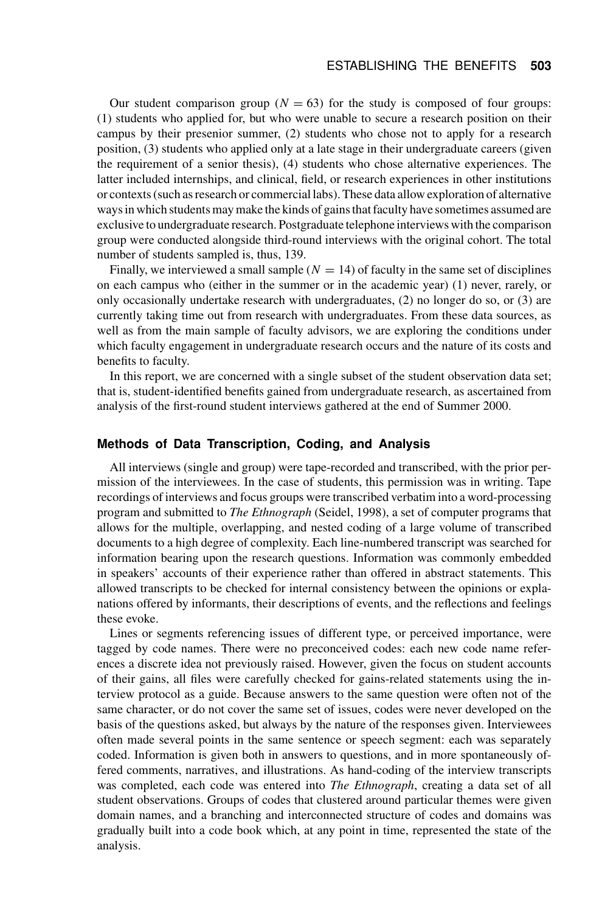Our student comparison group ( $N = 63$ ) for the study is composed of four groups: (1) students who applied for, but who were unable to secure a research position on their campus by their presenior summer, (2) students who chose not to apply for a research position, (3) students who applied only at a late stage in their undergraduate careers (given the requirement of a senior thesis), (4) students who chose alternative experiences. The latter included internships, and clinical, field, or research experiences in other institutions or contexts (such as research or commercial labs). These data allow exploration of alternative ways in which students may make the kinds of gains that faculty have sometimes assumed are exclusive to undergraduate research. Postgraduate telephone interviews with the comparison group were conducted alongside third-round interviews with the original cohort. The total number of students sampled is, thus, 139.

Finally, we interviewed a small sample  $(N = 14)$  of faculty in the same set of disciplines on each campus who (either in the summer or in the academic year) (1) never, rarely, or only occasionally undertake research with undergraduates, (2) no longer do so, or (3) are currently taking time out from research with undergraduates. From these data sources, as well as from the main sample of faculty advisors, we are exploring the conditions under which faculty engagement in undergraduate research occurs and the nature of its costs and benefits to faculty.

In this report, we are concerned with a single subset of the student observation data set; that is, student-identified benefits gained from undergraduate research, as ascertained from analysis of the first-round student interviews gathered at the end of Summer 2000.

#### **Methods of Data Transcription, Coding, and Analysis**

All interviews (single and group) were tape-recorded and transcribed, with the prior permission of the interviewees. In the case of students, this permission was in writing. Tape recordings of interviews and focus groups were transcribed verbatim into a word-processing program and submitted to *The Ethnograph* (Seidel, 1998), a set of computer programs that allows for the multiple, overlapping, and nested coding of a large volume of transcribed documents to a high degree of complexity. Each line-numbered transcript was searched for information bearing upon the research questions. Information was commonly embedded in speakers' accounts of their experience rather than offered in abstract statements. This allowed transcripts to be checked for internal consistency between the opinions or explanations offered by informants, their descriptions of events, and the reflections and feelings these evoke.

Lines or segments referencing issues of different type, or perceived importance, were tagged by code names. There were no preconceived codes: each new code name references a discrete idea not previously raised. However, given the focus on student accounts of their gains, all files were carefully checked for gains-related statements using the interview protocol as a guide. Because answers to the same question were often not of the same character, or do not cover the same set of issues, codes were never developed on the basis of the questions asked, but always by the nature of the responses given. Interviewees often made several points in the same sentence or speech segment: each was separately coded. Information is given both in answers to questions, and in more spontaneously offered comments, narratives, and illustrations. As hand-coding of the interview transcripts was completed, each code was entered into *The Ethnograph*, creating a data set of all student observations. Groups of codes that clustered around particular themes were given domain names, and a branching and interconnected structure of codes and domains was gradually built into a code book which, at any point in time, represented the state of the analysis.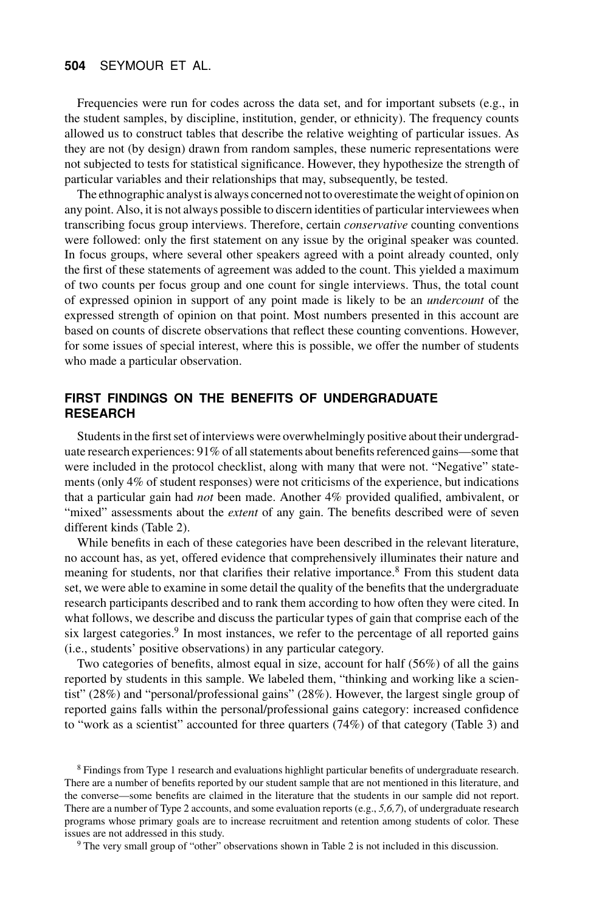Frequencies were run for codes across the data set, and for important subsets (e.g., in the student samples, by discipline, institution, gender, or ethnicity). The frequency counts allowed us to construct tables that describe the relative weighting of particular issues. As they are not (by design) drawn from random samples, these numeric representations were not subjected to tests for statistical significance. However, they hypothesize the strength of particular variables and their relationships that may, subsequently, be tested.

The ethnographic analyst is always concerned not to overestimate the weight of opinion on any point. Also, it is not always possible to discern identities of particular interviewees when transcribing focus group interviews. Therefore, certain *conservative* counting conventions were followed: only the first statement on any issue by the original speaker was counted. In focus groups, where several other speakers agreed with a point already counted, only the first of these statements of agreement was added to the count. This yielded a maximum of two counts per focus group and one count for single interviews. Thus, the total count of expressed opinion in support of any point made is likely to be an *undercount* of the expressed strength of opinion on that point. Most numbers presented in this account are based on counts of discrete observations that reflect these counting conventions. However, for some issues of special interest, where this is possible, we offer the number of students who made a particular observation.

# **FIRST FINDINGS ON THE BENEFITS OF UNDERGRADUATE RESEARCH**

Students in the first set of interviews were overwhelmingly positive about their undergraduate research experiences: 91% of all statements about benefits referenced gains—some that were included in the protocol checklist, along with many that were not. "Negative" statements (only 4% of student responses) were not criticisms of the experience, but indications that a particular gain had *not* been made. Another 4% provided qualified, ambivalent, or "mixed" assessments about the *extent* of any gain. The benefits described were of seven different kinds (Table 2).

While benefits in each of these categories have been described in the relevant literature, no account has, as yet, offered evidence that comprehensively illuminates their nature and meaning for students, nor that clarifies their relative importance.<sup>8</sup> From this student data set, we were able to examine in some detail the quality of the benefits that the undergraduate research participants described and to rank them according to how often they were cited. In what follows, we describe and discuss the particular types of gain that comprise each of the six largest categories.<sup>9</sup> In most instances, we refer to the percentage of all reported gains (i.e., students' positive observations) in any particular category.

Two categories of benefits, almost equal in size, account for half (56%) of all the gains reported by students in this sample. We labeled them, "thinking and working like a scientist" (28%) and "personal/professional gains" (28%). However, the largest single group of reported gains falls within the personal/professional gains category: increased confidence to "work as a scientist" accounted for three quarters (74%) of that category (Table 3) and

<sup>9</sup> The very small group of "other" observations shown in Table 2 is not included in this discussion.

<sup>8</sup> Findings from Type 1 research and evaluations highlight particular benefits of undergraduate research. There are a number of benefits reported by our student sample that are not mentioned in this literature, and the converse—some benefits are claimed in the literature that the students in our sample did not report. There are a number of Type 2 accounts, and some evaluation reports (e.g., *5,6,7*), of undergraduate research programs whose primary goals are to increase recruitment and retention among students of color. These issues are not addressed in this study.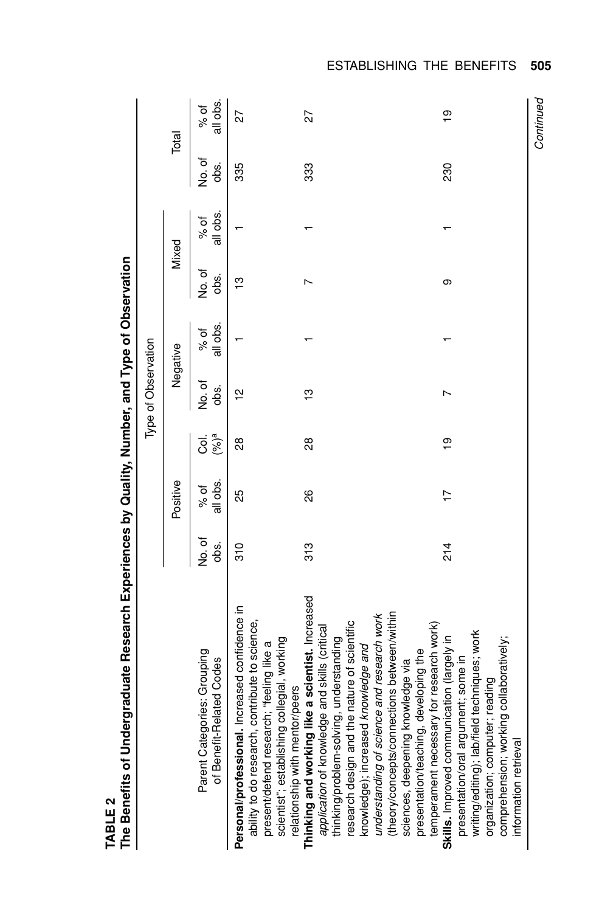| Research Experiences by Quality, Number, and Type of Observation<br>The Benefits of Undergraduate                                                                                                                                                                                                                                                                                                                                       |                |                  |               |                     |                  |                  |                  |               |                    |
|-----------------------------------------------------------------------------------------------------------------------------------------------------------------------------------------------------------------------------------------------------------------------------------------------------------------------------------------------------------------------------------------------------------------------------------------|----------------|------------------|---------------|---------------------|------------------|------------------|------------------|---------------|--------------------|
|                                                                                                                                                                                                                                                                                                                                                                                                                                         |                |                  |               | Type of Observation |                  |                  |                  |               |                    |
|                                                                                                                                                                                                                                                                                                                                                                                                                                         |                | Positive         |               |                     | Negative         |                  | Mixed            |               | Total              |
| Parent Categories: Grouping<br>of Benefit-Related Codes                                                                                                                                                                                                                                                                                                                                                                                 | No. of<br>obs. | all obs.<br>% of | $(\%)^a$<br>ō | To.of<br>obs.       | all obs.<br>% of | to<br>So<br>obs. | all obs.<br>% of | ծ<br>ջ<br>os. | all obs.<br>$%$ of |
| Personal/professional. Increased confidence in<br>ability to do research, contribute to science,<br>scientist"; establishing collegial, working<br>like a<br>present/defend research; "feeling li<br>relationship with mentor/peers                                                                                                                                                                                                     | 310            | 25               | 88            | $\frac{2}{1}$       |                  | ဗ္               |                  | 335           | 27                 |
| ist. Increased<br>(theory/concepts/connections between/within<br>understanding of science and research work<br>scientific<br>application of knowledge and skills (critical<br>thinking/problem-solving, understanding<br>knowledge); increased knowledge and<br>(theory/conceptorow)<br>sciences, deepening knowledge via<br>------- ^------ developing the<br>Thinking and working like a scienti<br>research design and the nature of | 313            | 88               | $\frac{8}{2}$ | ဗ္                  |                  | Ņ                |                  | 333           | 27                 |
| temperament necessary for research work)<br>writing/editing); lab/field techniques; work<br><b>Skills.</b> Improved communication (largely in<br>presentation/oral argument; some in<br>tively;<br>comprehension; working collaborat<br>presentation/oral argument; some<br>organization; computer; reading<br>information retrieval                                                                                                    | 214            | $\overline{1}$   | စ္            | r                   |                  | တ                |                  | 230           | $\frac{6}{1}$      |
|                                                                                                                                                                                                                                                                                                                                                                                                                                         |                |                  |               |                     |                  |                  |                  |               | Continued          |

TABLE 2 **TABLE 2**

ESTABLISHING THE BENEFITS **505**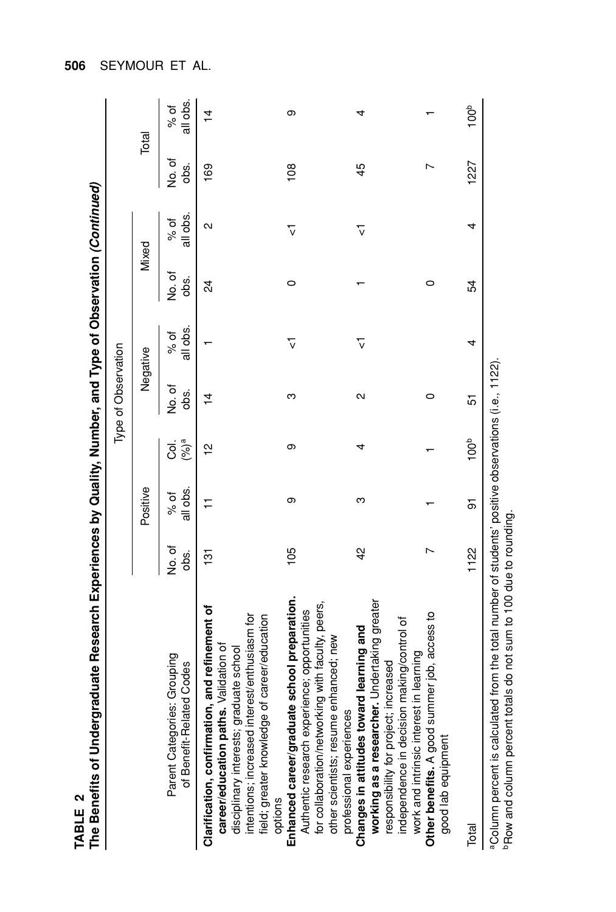| Research Experiences by Quality, Number, and Type of Observation (Continued)<br>The Benefits of Undergraduate<br>TABLE 2                                                                                                                |                  |                  |                  |                     |                  |                |                  |                      |                    |
|-----------------------------------------------------------------------------------------------------------------------------------------------------------------------------------------------------------------------------------------|------------------|------------------|------------------|---------------------|------------------|----------------|------------------|----------------------|--------------------|
|                                                                                                                                                                                                                                         |                  |                  |                  | Type of Observation |                  |                |                  |                      |                    |
|                                                                                                                                                                                                                                         |                  | Positive         |                  |                     | Negative         |                | Mixed            |                      | Total              |
| Parent Categories: Grouping<br>of Benefit-Related Codes                                                                                                                                                                                 | do. of<br>ဝင်    | all obs.<br>% of | $(\%)^a$<br>ē    | No. of<br>obs.      | all obs.<br>% of | ծ<br>Զ<br>obs. | all obs.<br>% of | to<br>No. of<br>obs. | all obs.<br>$%$ of |
| Clarification, confirmation, and refinement of<br>intentions; increased interest/enthusiasm for<br>education<br>career/education paths. Validation of<br>disciplinary interests; graduate school<br>field; greater knowledge of career/ | $\overline{131}$ |                  | 얻                | $\frac{4}{4}$       |                  | 24             | N                | 169                  | $\frac{1}{4}$      |
| preparation.<br>for collaboration/networking with faculty, peers,<br>Authentic research experience; opportunities<br>other scientists; resume enhanced; new<br>Enhanced career/graduate school<br>options                               | 105              | თ                | თ                | ო                   | 7                | 0              | ᡪ                | 108                  | თ                  |
| working as a researcher. Undertaking greater<br>independence in decision making/control of<br>Changes in attitudes toward learning and<br>responsibility for project; increased<br>professional experiences                             | 42               | ო                | 4                | N                   | <u>ړ</u>         |                | ▽                | 45                   | 4                  |
| access to<br>work and intrinsic interest in learning<br>Other benefits. A good summer job,<br>good lab equipment                                                                                                                        |                  |                  |                  | $\circ$             |                  | 0              |                  |                      |                    |
| Total                                                                                                                                                                                                                                   | 1122             | 5                | 100 <sup>b</sup> | 5                   | 4                | 54             | 4                | 1227                 | 100 <sup>b</sup>   |
| <sup>a</sup> Column percent is calculated from the total number of students' positive observations (i.e., 1122)                                                                                                                         |                  |                  |                  |                     |                  |                |                  |                      |                    |

aColumn percent is calculated from the total number of students' positive observations (i.e., 1122). aColumn percent is calculated from the total number of students' positive obser<br>
PRow and column percent totals do not sum to 100 due to rounding. bRow and column percent totals do not sum to 100 due to rounding.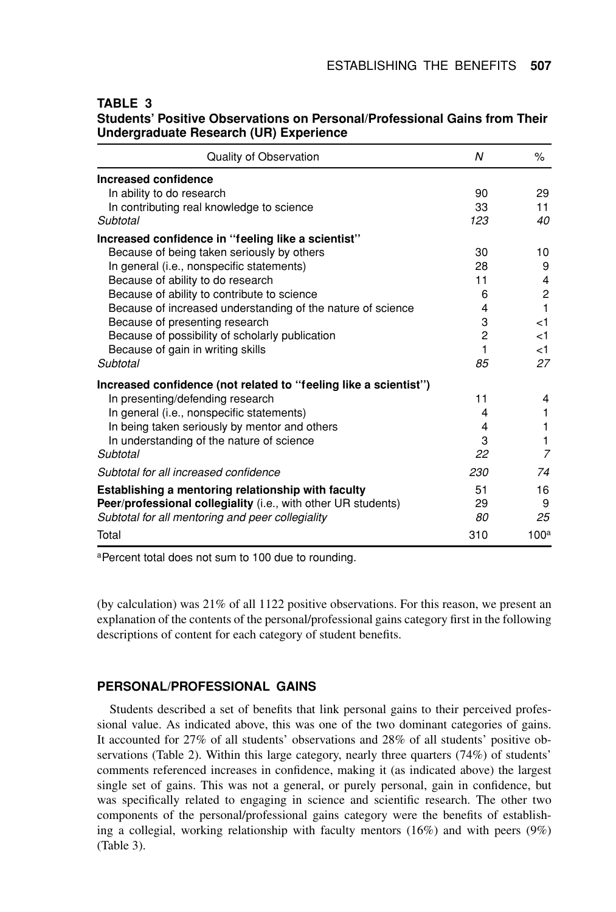| TABLE 3                                                                   |
|---------------------------------------------------------------------------|
| Students' Positive Observations on Personal/Professional Gains from Their |
| Undergraduate Research (UR) Experience                                    |

| Quality of Observation                                           | Ν   | %                |
|------------------------------------------------------------------|-----|------------------|
| Increased confidence                                             |     |                  |
| In ability to do research                                        | 90  | 29               |
| In contributing real knowledge to science                        | 33  | 11               |
| Subtotal                                                         | 123 | 40               |
| Increased confidence in "feeling like a scientist"               |     |                  |
| Because of being taken seriously by others                       | 30  | 10               |
| In general (i.e., nonspecific statements)                        | 28  | 9                |
| Because of ability to do research                                | 11  | 4                |
| Because of ability to contribute to science                      | 6   | $\overline{c}$   |
| Because of increased understanding of the nature of science      | 4   | $\mathbf{1}$     |
| Because of presenting research                                   | 3   | ا>               |
| Because of possibility of scholarly publication                  | 2   | ا>               |
| Because of gain in writing skills                                |     | -1               |
| Subtotal                                                         | 85  | 27               |
| Increased confidence (not related to "feeling like a scientist") |     |                  |
| In presenting/defending research                                 | 11  | 4                |
| In general (i.e., nonspecific statements)                        | 4   | 1                |
| In being taken seriously by mentor and others                    | 4   | 1                |
| In understanding of the nature of science                        | 3   | 1                |
| Subtotal                                                         | 22  | 7                |
| Subtotal for all increased confidence                            | 230 | 74               |
| Establishing a mentoring relationship with faculty               | 51  | 16               |
| Peer/professional collegiality (i.e., with other UR students)    | 29  | 9                |
| Subtotal for all mentoring and peer collegiality                 | 80  | 25               |
| Total                                                            | 310 | 100 <sup>a</sup> |

aPercent total does not sum to 100 due to rounding.

(by calculation) was 21% of all 1122 positive observations. For this reason, we present an explanation of the contents of the personal/professional gains category first in the following descriptions of content for each category of student benefits.

## **PERSONAL/PROFESSIONAL GAINS**

Students described a set of benefits that link personal gains to their perceived professional value. As indicated above, this was one of the two dominant categories of gains. It accounted for 27% of all students' observations and 28% of all students' positive observations (Table 2). Within this large category, nearly three quarters (74%) of students' comments referenced increases in confidence, making it (as indicated above) the largest single set of gains. This was not a general, or purely personal, gain in confidence, but was specifically related to engaging in science and scientific research. The other two components of the personal/professional gains category were the benefits of establishing a collegial, working relationship with faculty mentors (16%) and with peers (9%) (Table 3).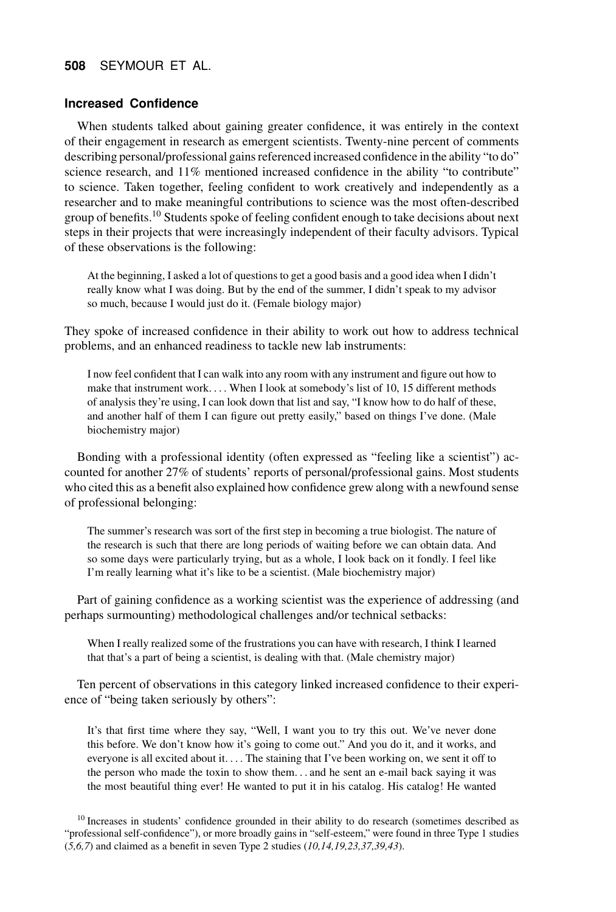#### **Increased Confidence**

When students talked about gaining greater confidence, it was entirely in the context of their engagement in research as emergent scientists. Twenty-nine percent of comments describing personal/professional gains referenced increased confidence in the ability "to do" science research, and 11% mentioned increased confidence in the ability "to contribute" to science. Taken together, feeling confident to work creatively and independently as a researcher and to make meaningful contributions to science was the most often-described group of benefits.<sup>10</sup> Students spoke of feeling confident enough to take decisions about next steps in their projects that were increasingly independent of their faculty advisors. Typical of these observations is the following:

At the beginning, I asked a lot of questions to get a good basis and a good idea when I didn't really know what I was doing. But by the end of the summer, I didn't speak to my advisor so much, because I would just do it. (Female biology major)

They spoke of increased confidence in their ability to work out how to address technical problems, and an enhanced readiness to tackle new lab instruments:

I now feel confident that I can walk into any room with any instrument and figure out how to make that instrument work... . When I look at somebody's list of 10, 15 different methods of analysis they're using, I can look down that list and say, "I know how to do half of these, and another half of them I can figure out pretty easily," based on things I've done. (Male biochemistry major)

Bonding with a professional identity (often expressed as "feeling like a scientist") accounted for another 27% of students' reports of personal/professional gains. Most students who cited this as a benefit also explained how confidence grew along with a newfound sense of professional belonging:

The summer's research was sort of the first step in becoming a true biologist. The nature of the research is such that there are long periods of waiting before we can obtain data. And so some days were particularly trying, but as a whole, I look back on it fondly. I feel like I'm really learning what it's like to be a scientist. (Male biochemistry major)

Part of gaining confidence as a working scientist was the experience of addressing (and perhaps surmounting) methodological challenges and/or technical setbacks:

When I really realized some of the frustrations you can have with research, I think I learned that that's a part of being a scientist, is dealing with that. (Male chemistry major)

Ten percent of observations in this category linked increased confidence to their experience of "being taken seriously by others":

It's that first time where they say, "Well, I want you to try this out. We've never done this before. We don't know how it's going to come out." And you do it, and it works, and everyone is all excited about it... . The staining that I've been working on, we sent it off to the person who made the toxin to show them... and he sent an e-mail back saying it was the most beautiful thing ever! He wanted to put it in his catalog. His catalog! He wanted

<sup>10</sup> Increases in students' confidence grounded in their ability to do research (sometimes described as "professional self-confidence"), or more broadly gains in "self-esteem," were found in three Type 1 studies (*5,6,7*) and claimed as a benefit in seven Type 2 studies (*10,14,19,23,37,39,43*).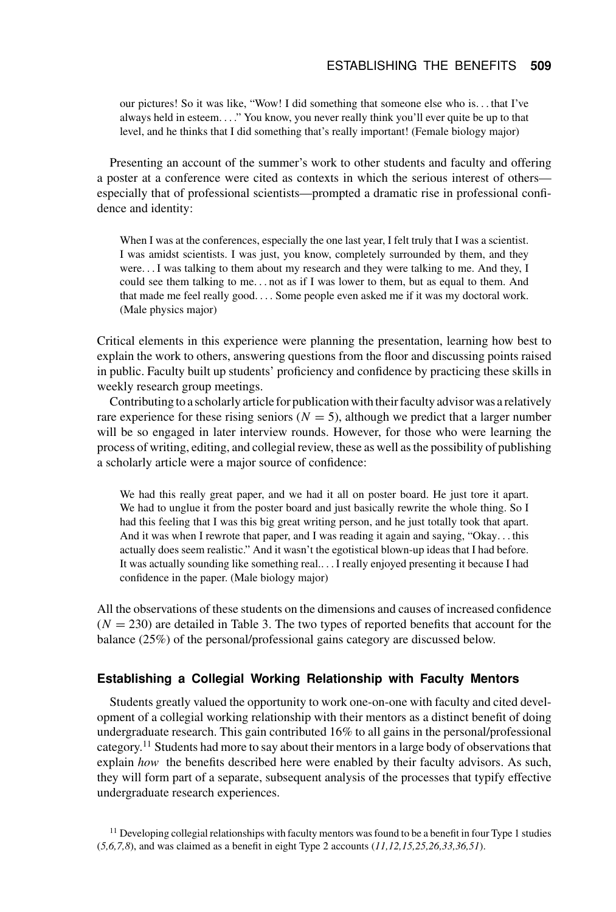our pictures! So it was like, "Wow! I did something that someone else who is... that I've always held in esteem... ." You know, you never really think you'll ever quite be up to that level, and he thinks that I did something that's really important! (Female biology major)

Presenting an account of the summer's work to other students and faculty and offering a poster at a conference were cited as contexts in which the serious interest of others especially that of professional scientists—prompted a dramatic rise in professional confidence and identity:

When I was at the conferences, especially the one last year, I felt truly that I was a scientist. I was amidst scientists. I was just, you know, completely surrounded by them, and they were... I was talking to them about my research and they were talking to me. And they, I could see them talking to me... not as if I was lower to them, but as equal to them. And that made me feel really good... . Some people even asked me if it was my doctoral work. (Male physics major)

Critical elements in this experience were planning the presentation, learning how best to explain the work to others, answering questions from the floor and discussing points raised in public. Faculty built up students' proficiency and confidence by practicing these skills in weekly research group meetings.

Contributing to a scholarly article for publication with their faculty advisor was a relatively rare experience for these rising seniors ( $N = 5$ ), although we predict that a larger number will be so engaged in later interview rounds. However, for those who were learning the process of writing, editing, and collegial review, these as well as the possibility of publishing a scholarly article were a major source of confidence:

We had this really great paper, and we had it all on poster board. He just tore it apart. We had to unglue it from the poster board and just basically rewrite the whole thing. So I had this feeling that I was this big great writing person, and he just totally took that apart. And it was when I rewrote that paper, and I was reading it again and saying, "Okay... this actually does seem realistic." And it wasn't the egotistical blown-up ideas that I had before. It was actually sounding like something real.... I really enjoyed presenting it because I had confidence in the paper. (Male biology major)

All the observations of these students on the dimensions and causes of increased confidence  $(N = 230)$  are detailed in Table 3. The two types of reported benefits that account for the balance (25%) of the personal/professional gains category are discussed below.

## **Establishing a Collegial Working Relationship with Faculty Mentors**

Students greatly valued the opportunity to work one-on-one with faculty and cited development of a collegial working relationship with their mentors as a distinct benefit of doing undergraduate research. This gain contributed 16% to all gains in the personal/professional category.<sup>11</sup> Students had more to say about their mentors in a large body of observations that explain *how* the benefits described here were enabled by their faculty advisors. As such, they will form part of a separate, subsequent analysis of the processes that typify effective undergraduate research experiences.

 $<sup>11</sup>$  Developing collegial relationships with faculty mentors was found to be a benefit in four Type 1 studies</sup> (*5,6,7,8*), and was claimed as a benefit in eight Type 2 accounts (*11,12,15,25,26,33,36,51*).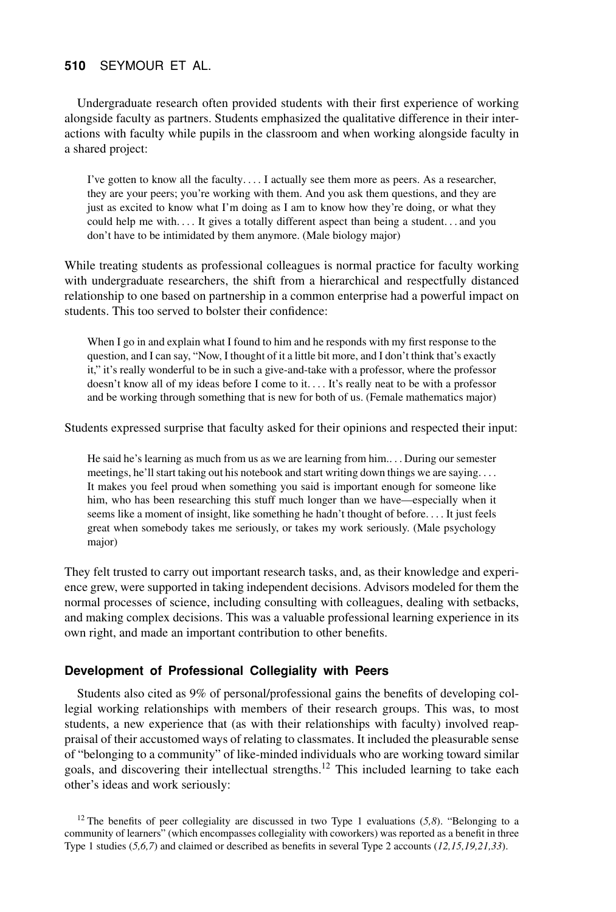Undergraduate research often provided students with their first experience of working alongside faculty as partners. Students emphasized the qualitative difference in their interactions with faculty while pupils in the classroom and when working alongside faculty in a shared project:

I've gotten to know all the faculty... . I actually see them more as peers. As a researcher, they are your peers; you're working with them. And you ask them questions, and they are just as excited to know what I'm doing as I am to know how they're doing, or what they could help me with... . It gives a totally different aspect than being a student... and you don't have to be intimidated by them anymore. (Male biology major)

While treating students as professional colleagues is normal practice for faculty working with undergraduate researchers, the shift from a hierarchical and respectfully distanced relationship to one based on partnership in a common enterprise had a powerful impact on students. This too served to bolster their confidence:

When I go in and explain what I found to him and he responds with my first response to the question, and I can say, "Now, I thought of it a little bit more, and I don't think that's exactly it," it's really wonderful to be in such a give-and-take with a professor, where the professor doesn't know all of my ideas before I come to it... . It's really neat to be with a professor and be working through something that is new for both of us. (Female mathematics major)

Students expressed surprise that faculty asked for their opinions and respected their input:

He said he's learning as much from us as we are learning from him.... During our semester meetings, he'll start taking out his notebook and start writing down things we are saying... . It makes you feel proud when something you said is important enough for someone like him, who has been researching this stuff much longer than we have—especially when it seems like a moment of insight, like something he hadn't thought of before... . It just feels great when somebody takes me seriously, or takes my work seriously. (Male psychology major)

They felt trusted to carry out important research tasks, and, as their knowledge and experience grew, were supported in taking independent decisions. Advisors modeled for them the normal processes of science, including consulting with colleagues, dealing with setbacks, and making complex decisions. This was a valuable professional learning experience in its own right, and made an important contribution to other benefits.

## **Development of Professional Collegiality with Peers**

Students also cited as 9% of personal/professional gains the benefits of developing collegial working relationships with members of their research groups. This was, to most students, a new experience that (as with their relationships with faculty) involved reappraisal of their accustomed ways of relating to classmates. It included the pleasurable sense of "belonging to a community" of like-minded individuals who are working toward similar goals, and discovering their intellectual strengths.<sup>12</sup> This included learning to take each other's ideas and work seriously:

<sup>12</sup> The benefits of peer collegiality are discussed in two Type 1 evaluations  $(5,8)$ . "Belonging to a community of learners" (which encompasses collegiality with coworkers) was reported as a benefit in three Type 1 studies (*5,6,7*) and claimed or described as benefits in several Type 2 accounts (*12,15,19,21,33*).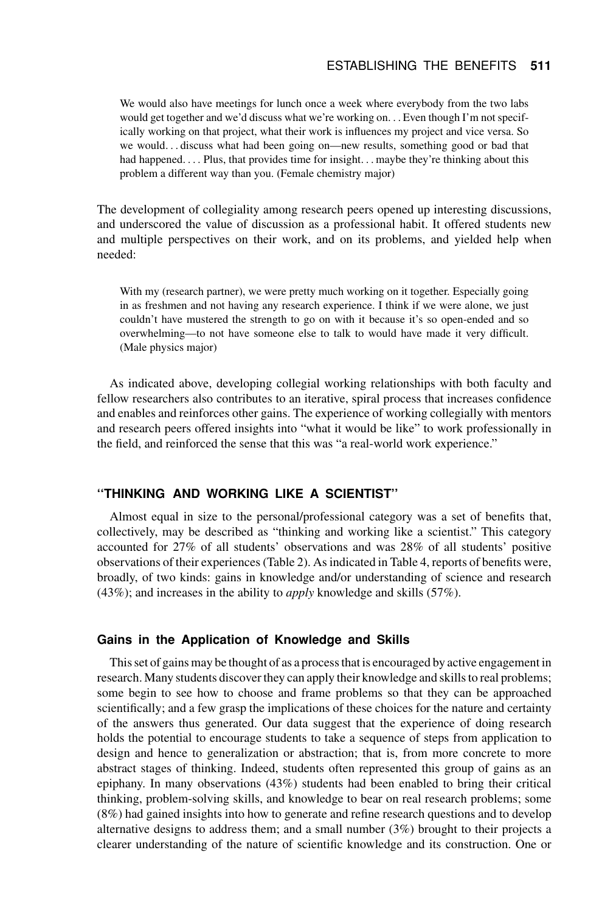We would also have meetings for lunch once a week where everybody from the two labs would get together and we'd discuss what we're working on... Even though I'm not specifically working on that project, what their work is influences my project and vice versa. So we would... discuss what had been going on—new results, something good or bad that had happened.... Plus, that provides time for insight... maybe they're thinking about this problem a different way than you. (Female chemistry major)

The development of collegiality among research peers opened up interesting discussions, and underscored the value of discussion as a professional habit. It offered students new and multiple perspectives on their work, and on its problems, and yielded help when needed:

With my (research partner), we were pretty much working on it together. Especially going in as freshmen and not having any research experience. I think if we were alone, we just couldn't have mustered the strength to go on with it because it's so open-ended and so overwhelming—to not have someone else to talk to would have made it very difficult. (Male physics major)

As indicated above, developing collegial working relationships with both faculty and fellow researchers also contributes to an iterative, spiral process that increases confidence and enables and reinforces other gains. The experience of working collegially with mentors and research peers offered insights into "what it would be like" to work professionally in the field, and reinforced the sense that this was "a real-world work experience."

# **''THINKING AND WORKING LIKE A SCIENTIST''**

Almost equal in size to the personal/professional category was a set of benefits that, collectively, may be described as "thinking and working like a scientist." This category accounted for 27% of all students' observations and was 28% of all students' positive observations of their experiences (Table 2). As indicated in Table 4, reports of benefits were, broadly, of two kinds: gains in knowledge and/or understanding of science and research (43%); and increases in the ability to *apply* knowledge and skills (57%).

#### **Gains in the Application of Knowledge and Skills**

This set of gains may be thought of as a process that is encouraged by active engagement in research. Many students discover they can apply their knowledge and skills to real problems; some begin to see how to choose and frame problems so that they can be approached scientifically; and a few grasp the implications of these choices for the nature and certainty of the answers thus generated. Our data suggest that the experience of doing research holds the potential to encourage students to take a sequence of steps from application to design and hence to generalization or abstraction; that is, from more concrete to more abstract stages of thinking. Indeed, students often represented this group of gains as an epiphany. In many observations (43%) students had been enabled to bring their critical thinking, problem-solving skills, and knowledge to bear on real research problems; some (8%) had gained insights into how to generate and refine research questions and to develop alternative designs to address them; and a small number  $(3%)$  brought to their projects a clearer understanding of the nature of scientific knowledge and its construction. One or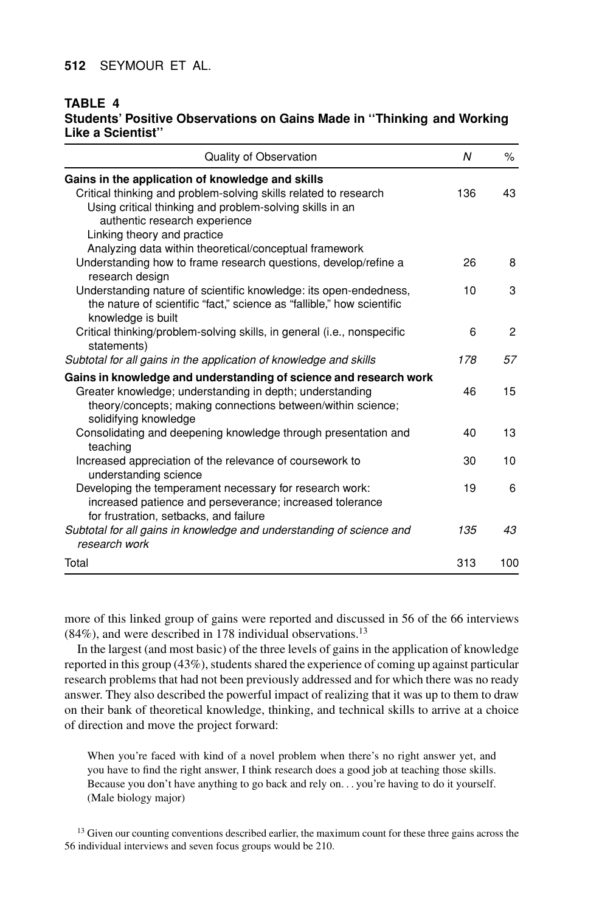## **TABLE 4 Students' Positive Observations on Gains Made in ''Thinking and Working Like a Scientist''**

| Quality of Observation                                                                                                                                                                                            | N   | ℅              |
|-------------------------------------------------------------------------------------------------------------------------------------------------------------------------------------------------------------------|-----|----------------|
| Gains in the application of knowledge and skills<br>Critical thinking and problem-solving skills related to research<br>Using critical thinking and problem-solving skills in an<br>authentic research experience | 136 | 43             |
| Linking theory and practice<br>Analyzing data within theoretical/conceptual framework                                                                                                                             |     |                |
| Understanding how to frame research questions, develop/refine a<br>research design                                                                                                                                | 26  | 8              |
| Understanding nature of scientific knowledge: its open-endedness,<br>the nature of scientific "fact," science as "fallible," how scientific<br>knowledge is built                                                 | 10  | 3              |
| Critical thinking/problem-solving skills, in general (i.e., nonspecific<br>statements)                                                                                                                            | 6   | $\overline{c}$ |
| Subtotal for all gains in the application of knowledge and skills                                                                                                                                                 | 178 | 57             |
| Gains in knowledge and understanding of science and research work<br>Greater knowledge; understanding in depth; understanding<br>theory/concepts; making connections between/within science;                      | 46  | 15             |
| solidifying knowledge<br>Consolidating and deepening knowledge through presentation and<br>teaching                                                                                                               | 40  | 13             |
| Increased appreciation of the relevance of coursework to<br>understanding science                                                                                                                                 | 30  | 10             |
| Developing the temperament necessary for research work:<br>increased patience and perseverance; increased tolerance<br>for frustration, setbacks, and failure                                                     | 19  | 6              |
| Subtotal for all gains in knowledge and understanding of science and<br>research work                                                                                                                             | 135 | 43             |
| Total                                                                                                                                                                                                             | 313 | 100            |

more of this linked group of gains were reported and discussed in 56 of the 66 interviews  $(84\%)$ , and were described in 178 individual observations.<sup>13</sup>

In the largest (and most basic) of the three levels of gains in the application of knowledge reported in this group (43%), students shared the experience of coming up against particular research problems that had not been previously addressed and for which there was no ready answer. They also described the powerful impact of realizing that it was up to them to draw on their bank of theoretical knowledge, thinking, and technical skills to arrive at a choice of direction and move the project forward:

When you're faced with kind of a novel problem when there's no right answer yet, and you have to find the right answer, I think research does a good job at teaching those skills. Because you don't have anything to go back and rely on... you're having to do it yourself. (Male biology major)

<sup>13</sup> Given our counting conventions described earlier, the maximum count for these three gains across the 56 individual interviews and seven focus groups would be 210.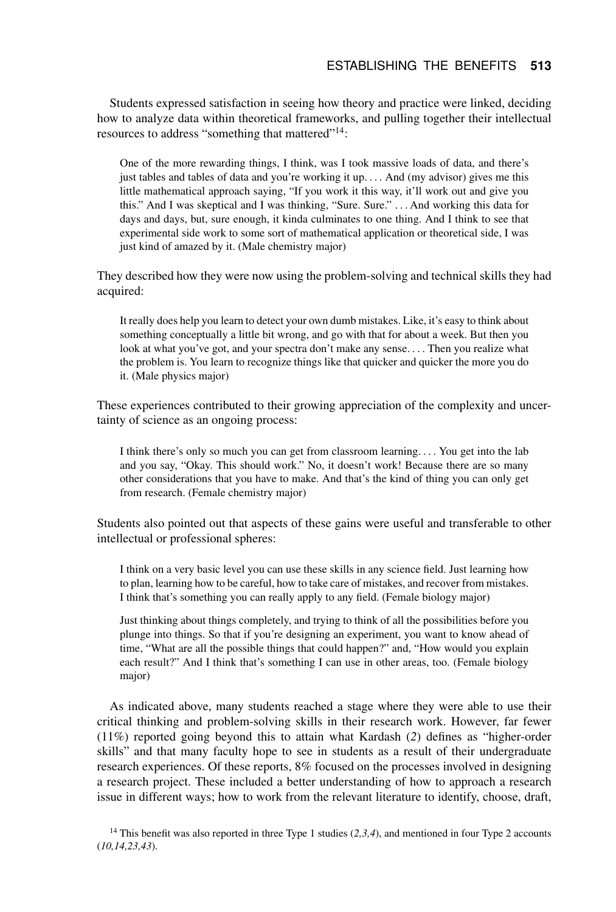Students expressed satisfaction in seeing how theory and practice were linked, deciding how to analyze data within theoretical frameworks, and pulling together their intellectual resources to address "something that mattered"<sup>14</sup>:

One of the more rewarding things, I think, was I took massive loads of data, and there's just tables and tables of data and you're working it up... . And (my advisor) gives me this little mathematical approach saying, "If you work it this way, it'll work out and give you this." And I was skeptical and I was thinking, "Sure. Sure." ... And working this data for days and days, but, sure enough, it kinda culminates to one thing. And I think to see that experimental side work to some sort of mathematical application or theoretical side, I was just kind of amazed by it. (Male chemistry major)

They described how they were now using the problem-solving and technical skills they had acquired:

It really does help you learn to detect your own dumb mistakes. Like, it's easy to think about something conceptually a little bit wrong, and go with that for about a week. But then you look at what you've got, and your spectra don't make any sense... . Then you realize what the problem is. You learn to recognize things like that quicker and quicker the more you do it. (Male physics major)

These experiences contributed to their growing appreciation of the complexity and uncertainty of science as an ongoing process:

I think there's only so much you can get from classroom learning... . You get into the lab and you say, "Okay. This should work." No, it doesn't work! Because there are so many other considerations that you have to make. And that's the kind of thing you can only get from research. (Female chemistry major)

Students also pointed out that aspects of these gains were useful and transferable to other intellectual or professional spheres:

I think on a very basic level you can use these skills in any science field. Just learning how to plan, learning how to be careful, how to take care of mistakes, and recover from mistakes. I think that's something you can really apply to any field. (Female biology major)

Just thinking about things completely, and trying to think of all the possibilities before you plunge into things. So that if you're designing an experiment, you want to know ahead of time, "What are all the possible things that could happen?" and, "How would you explain each result?" And I think that's something I can use in other areas, too. (Female biology major)

As indicated above, many students reached a stage where they were able to use their critical thinking and problem-solving skills in their research work. However, far fewer (11%) reported going beyond this to attain what Kardash (*2*) defines as "higher-order skills" and that many faculty hope to see in students as a result of their undergraduate research experiences. Of these reports, 8% focused on the processes involved in designing a research project. These included a better understanding of how to approach a research issue in different ways; how to work from the relevant literature to identify, choose, draft,

<sup>14</sup> This benefit was also reported in three Type 1 studies (*2,3,4*), and mentioned in four Type 2 accounts (*10,14,23,43*).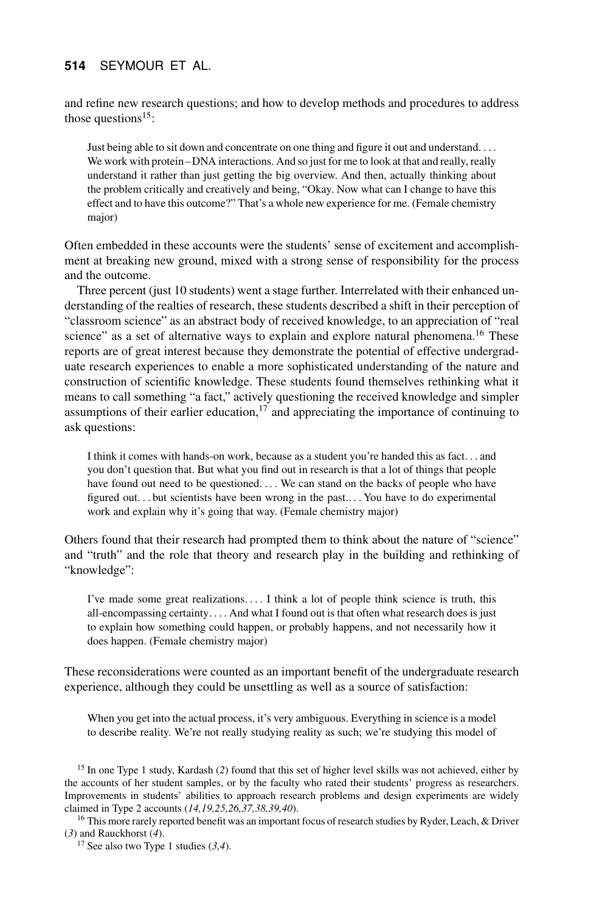and refine new research questions; and how to develop methods and procedures to address those questions<sup>15</sup>:

Just being able to sit down and concentrate on one thing and figure it out and understand... . We work with protein–DNA interactions. And so just for me to look at that and really, really understand it rather than just getting the big overview. And then, actually thinking about the problem critically and creatively and being, "Okay. Now what can I change to have this effect and to have this outcome?" That's a whole new experience for me. (Female chemistry major)

Often embedded in these accounts were the students' sense of excitement and accomplishment at breaking new ground, mixed with a strong sense of responsibility for the process and the outcome.

Three percent (just 10 students) went a stage further. Interrelated with their enhanced understanding of the realties of research, these students described a shift in their perception of "classroom science" as an abstract body of received knowledge, to an appreciation of "real science" as a set of alternative ways to explain and explore natural phenomena.<sup>16</sup> These reports are of great interest because they demonstrate the potential of effective undergraduate research experiences to enable a more sophisticated understanding of the nature and construction of scientific knowledge. These students found themselves rethinking what it means to call something "a fact," actively questioning the received knowledge and simpler assumptions of their earlier education, $17$  and appreciating the importance of continuing to ask questions:

I think it comes with hands-on work, because as a student you're handed this as fact... and you don't question that. But what you find out in research is that a lot of things that people have found out need to be questioned.... We can stand on the backs of people who have figured out... but scientists have been wrong in the past.... You have to do experimental work and explain why it's going that way. (Female chemistry major)

Others found that their research had prompted them to think about the nature of "science" and "truth" and the role that theory and research play in the building and rethinking of "knowledge":

I've made some great realizations... . I think a lot of people think science is truth, this all-encompassing certainty... . And what I found out is that often what research does is just to explain how something could happen, or probably happens, and not necessarily how it does happen. (Female chemistry major)

These reconsiderations were counted as an important benefit of the undergraduate research experience, although they could be unsettling as well as a source of satisfaction:

When you get into the actual process, it's very ambiguous. Everything in science is a model to describe reality. We're not really studying reality as such; we're studying this model of

<sup>15</sup> In one Type 1 study, Kardash (*2*) found that this set of higher level skills was not achieved, either by the accounts of her student samples, or by the faculty who rated their students' progress as researchers. Improvements in students' abilities to approach research problems and design experiments are widely claimed in Type 2 accounts (*14,19,25,26,37,38,39,40*).

<sup>16</sup> This more rarely reported benefit was an important focus of research studies by Ryder, Leach, & Driver (*3*) and Rauckhorst (*4*).

<sup>17</sup> See also two Type 1 studies (*3,4*).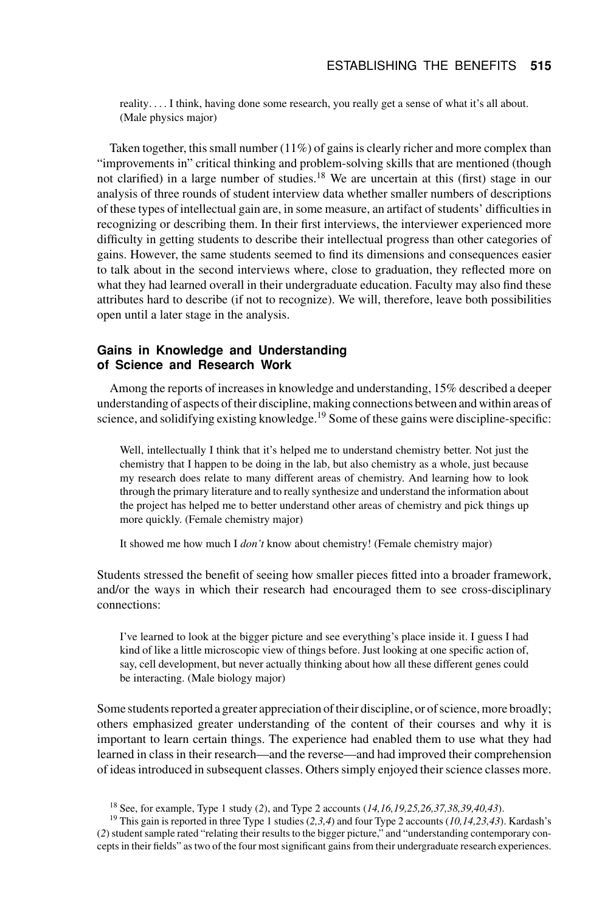reality... . I think, having done some research, you really get a sense of what it's all about. (Male physics major)

Taken together, this small number (11%) of gains is clearly richer and more complex than "improvements in" critical thinking and problem-solving skills that are mentioned (though not clarified) in a large number of studies.<sup>18</sup> We are uncertain at this (first) stage in our analysis of three rounds of student interview data whether smaller numbers of descriptions of these types of intellectual gain are, in some measure, an artifact of students' difficulties in recognizing or describing them. In their first interviews, the interviewer experienced more difficulty in getting students to describe their intellectual progress than other categories of gains. However, the same students seemed to find its dimensions and consequences easier to talk about in the second interviews where, close to graduation, they reflected more on what they had learned overall in their undergraduate education. Faculty may also find these attributes hard to describe (if not to recognize). We will, therefore, leave both possibilities open until a later stage in the analysis.

### **Gains in Knowledge and Understanding of Science and Research Work**

Among the reports of increases in knowledge and understanding, 15% described a deeper understanding of aspects of their discipline, making connections between and within areas of science, and solidifying existing knowledge.<sup>19</sup> Some of these gains were discipline-specific:

Well, intellectually I think that it's helped me to understand chemistry better. Not just the chemistry that I happen to be doing in the lab, but also chemistry as a whole, just because my research does relate to many different areas of chemistry. And learning how to look through the primary literature and to really synthesize and understand the information about the project has helped me to better understand other areas of chemistry and pick things up more quickly. (Female chemistry major)

It showed me how much I *don't* know about chemistry! (Female chemistry major)

Students stressed the benefit of seeing how smaller pieces fitted into a broader framework, and/or the ways in which their research had encouraged them to see cross-disciplinary connections:

I've learned to look at the bigger picture and see everything's place inside it. I guess I had kind of like a little microscopic view of things before. Just looking at one specific action of, say, cell development, but never actually thinking about how all these different genes could be interacting. (Male biology major)

Some students reported a greater appreciation of their discipline, or of science, more broadly; others emphasized greater understanding of the content of their courses and why it is important to learn certain things. The experience had enabled them to use what they had learned in class in their research—and the reverse—and had improved their comprehension of ideas introduced in subsequent classes. Others simply enjoyed their science classes more.

<sup>18</sup> See, for example, Type 1 study (*2*), and Type 2 accounts (*14,16,19,25,26,37,38,39,40,43*).

<sup>19</sup> This gain is reported in three Type 1 studies (*2,3,4*) and four Type 2 accounts (*10,14,23,43*). Kardash's (*2*) student sample rated "relating their results to the bigger picture," and "understanding contemporary concepts in their fields" as two of the four most significant gains from their undergraduate research experiences.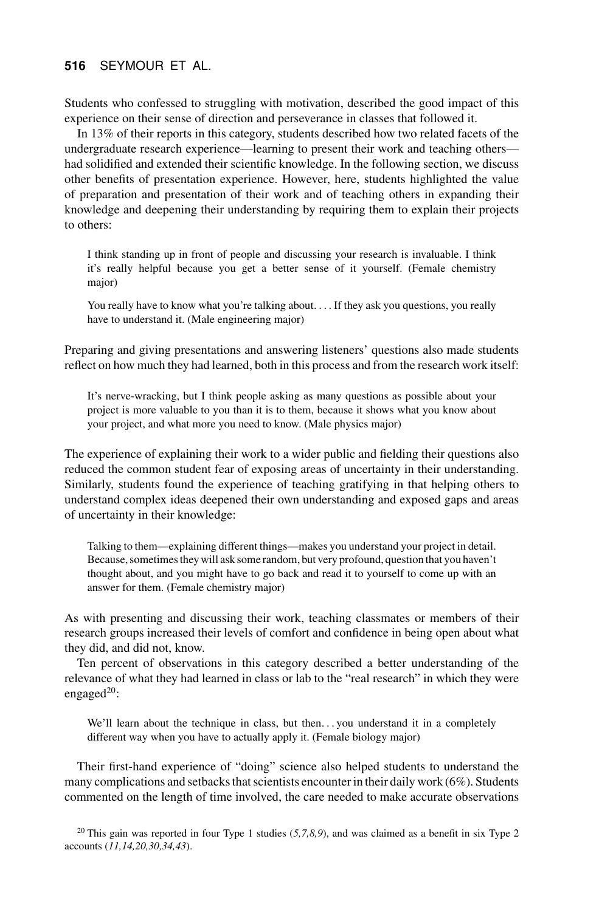Students who confessed to struggling with motivation, described the good impact of this experience on their sense of direction and perseverance in classes that followed it.

In 13% of their reports in this category, students described how two related facets of the undergraduate research experience—learning to present their work and teaching others had solidified and extended their scientific knowledge. In the following section, we discuss other benefits of presentation experience. However, here, students highlighted the value of preparation and presentation of their work and of teaching others in expanding their knowledge and deepening their understanding by requiring them to explain their projects to others:

I think standing up in front of people and discussing your research is invaluable. I think it's really helpful because you get a better sense of it yourself. (Female chemistry major)

You really have to know what you're talking about.... If they ask you questions, you really have to understand it. (Male engineering major)

Preparing and giving presentations and answering listeners' questions also made students reflect on how much they had learned, both in this process and from the research work itself:

It's nerve-wracking, but I think people asking as many questions as possible about your project is more valuable to you than it is to them, because it shows what you know about your project, and what more you need to know. (Male physics major)

The experience of explaining their work to a wider public and fielding their questions also reduced the common student fear of exposing areas of uncertainty in their understanding. Similarly, students found the experience of teaching gratifying in that helping others to understand complex ideas deepened their own understanding and exposed gaps and areas of uncertainty in their knowledge:

Talking to them—explaining different things—makes you understand your project in detail. Because, sometimes they will ask some random, but very profound, question that you haven't thought about, and you might have to go back and read it to yourself to come up with an answer for them. (Female chemistry major)

As with presenting and discussing their work, teaching classmates or members of their research groups increased their levels of comfort and confidence in being open about what they did, and did not, know.

Ten percent of observations in this category described a better understanding of the relevance of what they had learned in class or lab to the "real research" in which they were engaged $^{20}$ :

We'll learn about the technique in class, but then... you understand it in a completely different way when you have to actually apply it. (Female biology major)

Their first-hand experience of "doing" science also helped students to understand the many complications and setbacks that scientists encounter in their daily work (6%). Students commented on the length of time involved, the care needed to make accurate observations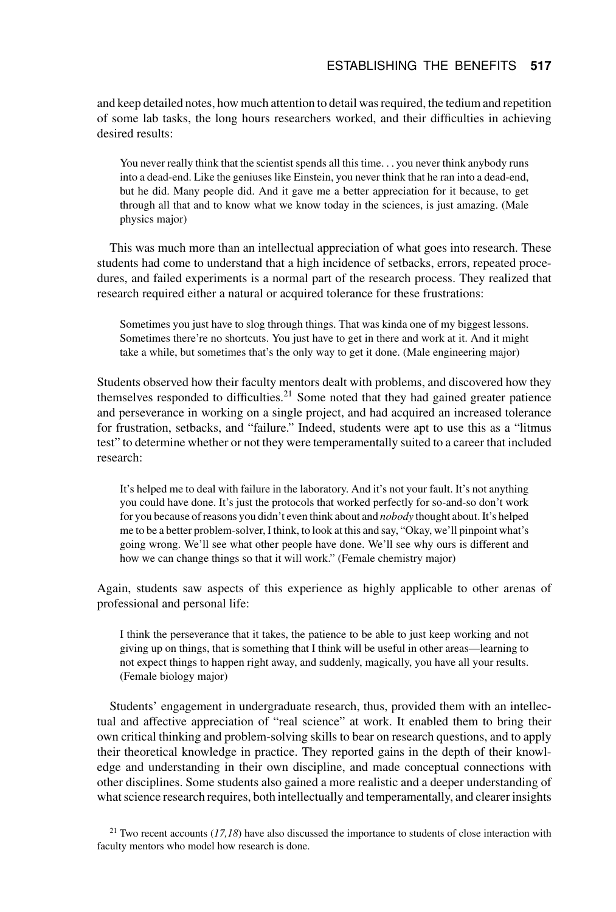and keep detailed notes, how much attention to detail was required, the tedium and repetition of some lab tasks, the long hours researchers worked, and their difficulties in achieving desired results:

You never really think that the scientist spends all this time... you never think anybody runs into a dead-end. Like the geniuses like Einstein, you never think that he ran into a dead-end, but he did. Many people did. And it gave me a better appreciation for it because, to get through all that and to know what we know today in the sciences, is just amazing. (Male physics major)

This was much more than an intellectual appreciation of what goes into research. These students had come to understand that a high incidence of setbacks, errors, repeated procedures, and failed experiments is a normal part of the research process. They realized that research required either a natural or acquired tolerance for these frustrations:

Sometimes you just have to slog through things. That was kinda one of my biggest lessons. Sometimes there're no shortcuts. You just have to get in there and work at it. And it might take a while, but sometimes that's the only way to get it done. (Male engineering major)

Students observed how their faculty mentors dealt with problems, and discovered how they themselves responded to difficulties.<sup>21</sup> Some noted that they had gained greater patience and perseverance in working on a single project, and had acquired an increased tolerance for frustration, setbacks, and "failure." Indeed, students were apt to use this as a "litmus test" to determine whether or not they were temperamentally suited to a career that included research:

It's helped me to deal with failure in the laboratory. And it's not your fault. It's not anything you could have done. It's just the protocols that worked perfectly for so-and-so don't work for you because of reasons you didn't even think about and *nobody* thought about. It's helped me to be a better problem-solver, I think, to look at this and say, "Okay, we'll pinpoint what's going wrong. We'll see what other people have done. We'll see why ours is different and how we can change things so that it will work." (Female chemistry major)

Again, students saw aspects of this experience as highly applicable to other arenas of professional and personal life:

I think the perseverance that it takes, the patience to be able to just keep working and not giving up on things, that is something that I think will be useful in other areas—learning to not expect things to happen right away, and suddenly, magically, you have all your results. (Female biology major)

Students' engagement in undergraduate research, thus, provided them with an intellectual and affective appreciation of "real science" at work. It enabled them to bring their own critical thinking and problem-solving skills to bear on research questions, and to apply their theoretical knowledge in practice. They reported gains in the depth of their knowledge and understanding in their own discipline, and made conceptual connections with other disciplines. Some students also gained a more realistic and a deeper understanding of what science research requires, both intellectually and temperamentally, and clearer insights

<sup>21</sup> Two recent accounts (*17,18*) have also discussed the importance to students of close interaction with faculty mentors who model how research is done.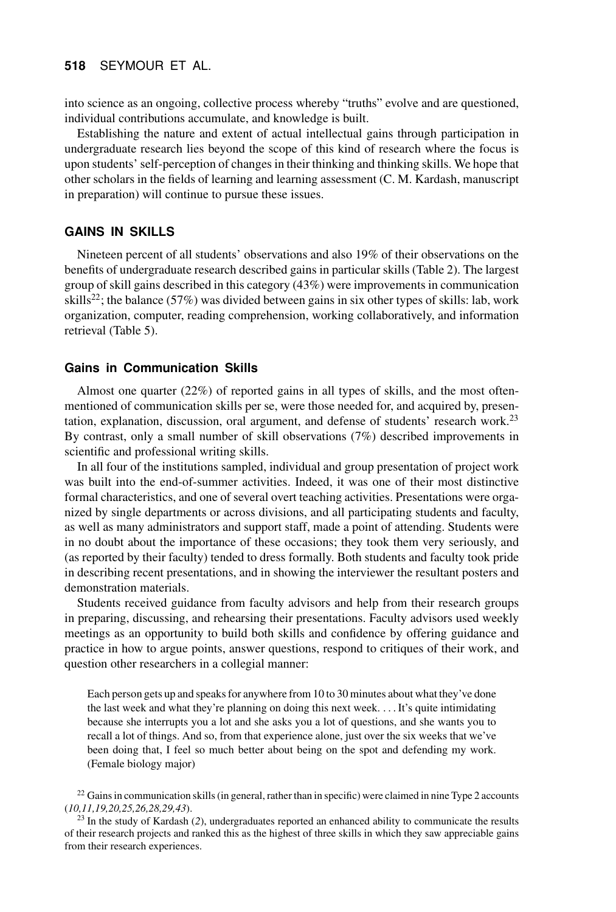into science as an ongoing, collective process whereby "truths" evolve and are questioned, individual contributions accumulate, and knowledge is built.

Establishing the nature and extent of actual intellectual gains through participation in undergraduate research lies beyond the scope of this kind of research where the focus is upon students'self-perception of changes in their thinking and thinking skills. We hope that other scholars in the fields of learning and learning assessment (C. M. Kardash, manuscript in preparation) will continue to pursue these issues.

## **GAINS IN SKILLS**

Nineteen percent of all students' observations and also 19% of their observations on the benefits of undergraduate research described gains in particular skills (Table 2). The largest group of skill gains described in this category (43%) were improvements in communication skills<sup>22</sup>; the balance (57%) was divided between gains in six other types of skills: lab, work organization, computer, reading comprehension, working collaboratively, and information retrieval (Table 5).

#### **Gains in Communication Skills**

Almost one quarter (22%) of reported gains in all types of skills, and the most oftenmentioned of communication skills per se, were those needed for, and acquired by, presentation, explanation, discussion, oral argument, and defense of students' research work.<sup>23</sup> By contrast, only a small number of skill observations (7%) described improvements in scientific and professional writing skills.

In all four of the institutions sampled, individual and group presentation of project work was built into the end-of-summer activities. Indeed, it was one of their most distinctive formal characteristics, and one of several overt teaching activities. Presentations were organized by single departments or across divisions, and all participating students and faculty, as well as many administrators and support staff, made a point of attending. Students were in no doubt about the importance of these occasions; they took them very seriously, and (as reported by their faculty) tended to dress formally. Both students and faculty took pride in describing recent presentations, and in showing the interviewer the resultant posters and demonstration materials.

Students received guidance from faculty advisors and help from their research groups in preparing, discussing, and rehearsing their presentations. Faculty advisors used weekly meetings as an opportunity to build both skills and confidence by offering guidance and practice in how to argue points, answer questions, respond to critiques of their work, and question other researchers in a collegial manner:

Each person gets up and speaks for anywhere from 10 to 30 minutes about what they've done the last week and what they're planning on doing this next week. ... It's quite intimidating because she interrupts you a lot and she asks you a lot of questions, and she wants you to recall a lot of things. And so, from that experience alone, just over the six weeks that we've been doing that, I feel so much better about being on the spot and defending my work. (Female biology major)

 $22$  Gains in communication skills (in general, rather than in specific) were claimed in nine Type 2 accounts (*10,11,19,20,25,26,28,29,43*).

<sup>23</sup> In the study of Kardash (*2*), undergraduates reported an enhanced ability to communicate the results of their research projects and ranked this as the highest of three skills in which they saw appreciable gains from their research experiences.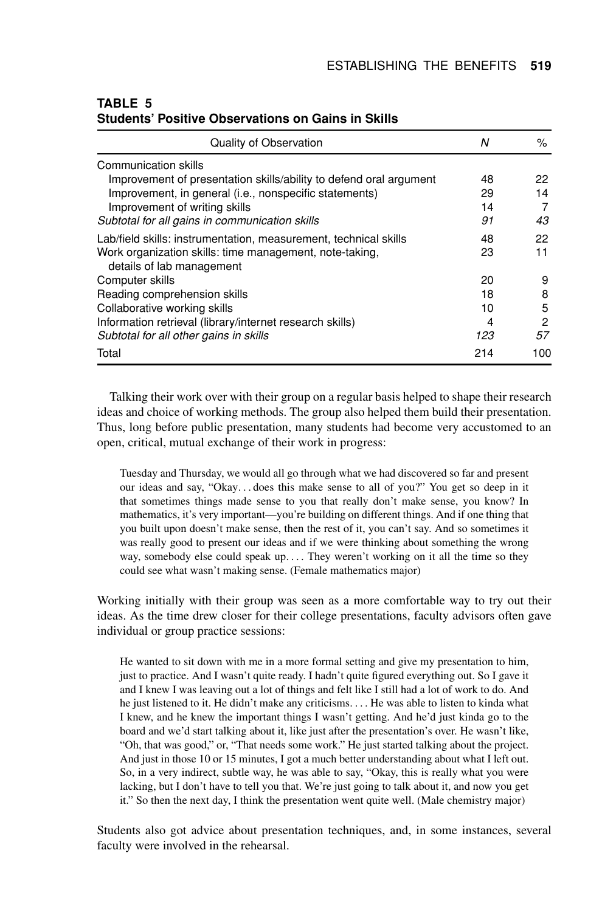| Quality of Observation                                                               | Ν   | ℅   |
|--------------------------------------------------------------------------------------|-----|-----|
| Communication skills                                                                 |     |     |
| Improvement of presentation skills/ability to defend oral argument                   | 48  | 22  |
| Improvement, in general (i.e., nonspecific statements)                               | 29  | 14  |
| Improvement of writing skills                                                        | 14  |     |
| Subtotal for all gains in communication skills                                       | 91  | 43  |
| Lab/field skills: instrumentation, measurement, technical skills                     | 48  | 22  |
| Work organization skills: time management, note-taking,<br>details of lab management | 23  | 11  |
| Computer skills                                                                      | 20  | 9   |
| Reading comprehension skills                                                         | 18  | 8   |
| Collaborative working skills                                                         | 10  | 5   |
| Information retrieval (library/internet research skills)                             | 4   | 2   |
| Subtotal for all other gains in skills                                               | 123 | 57  |
| Total                                                                                | 214 | 100 |

#### **TABLE 5 Students' Positive Observations on Gains in Skills**

Talking their work over with their group on a regular basis helped to shape their research ideas and choice of working methods. The group also helped them build their presentation. Thus, long before public presentation, many students had become very accustomed to an open, critical, mutual exchange of their work in progress:

Tuesday and Thursday, we would all go through what we had discovered so far and present our ideas and say, "Okay... does this make sense to all of you?" You get so deep in it that sometimes things made sense to you that really don't make sense, you know? In mathematics, it's very important—you're building on different things. And if one thing that you built upon doesn't make sense, then the rest of it, you can't say. And so sometimes it was really good to present our ideas and if we were thinking about something the wrong way, somebody else could speak up.... They weren't working on it all the time so they could see what wasn't making sense. (Female mathematics major)

Working initially with their group was seen as a more comfortable way to try out their ideas. As the time drew closer for their college presentations, faculty advisors often gave individual or group practice sessions:

He wanted to sit down with me in a more formal setting and give my presentation to him, just to practice. And I wasn't quite ready. I hadn't quite figured everything out. So I gave it and I knew I was leaving out a lot of things and felt like I still had a lot of work to do. And he just listened to it. He didn't make any criticisms... . He was able to listen to kinda what I knew, and he knew the important things I wasn't getting. And he'd just kinda go to the board and we'd start talking about it, like just after the presentation's over. He wasn't like, "Oh, that was good," or, "That needs some work." He just started talking about the project. And just in those 10 or 15 minutes, I got a much better understanding about what I left out. So, in a very indirect, subtle way, he was able to say, "Okay, this is really what you were lacking, but I don't have to tell you that. We're just going to talk about it, and now you get it." So then the next day, I think the presentation went quite well. (Male chemistry major)

Students also got advice about presentation techniques, and, in some instances, several faculty were involved in the rehearsal.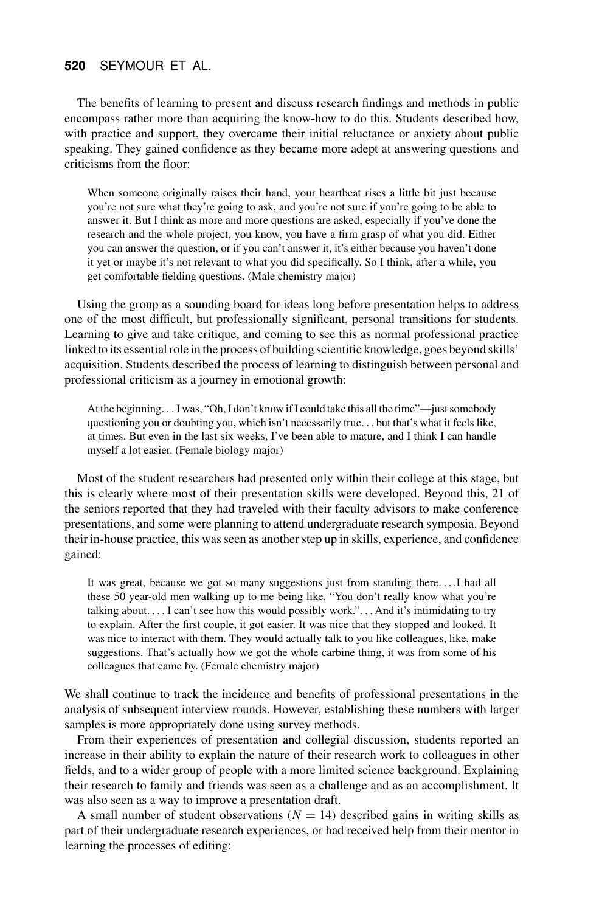The benefits of learning to present and discuss research findings and methods in public encompass rather more than acquiring the know-how to do this. Students described how, with practice and support, they overcame their initial reluctance or anxiety about public speaking. They gained confidence as they became more adept at answering questions and criticisms from the floor:

When someone originally raises their hand, your heartbeat rises a little bit just because you're not sure what they're going to ask, and you're not sure if you're going to be able to answer it. But I think as more and more questions are asked, especially if you've done the research and the whole project, you know, you have a firm grasp of what you did. Either you can answer the question, or if you can't answer it, it's either because you haven't done it yet or maybe it's not relevant to what you did specifically. So I think, after a while, you get comfortable fielding questions. (Male chemistry major)

Using the group as a sounding board for ideas long before presentation helps to address one of the most difficult, but professionally significant, personal transitions for students. Learning to give and take critique, and coming to see this as normal professional practice linked to its essential role in the process of building scientific knowledge, goes beyond skills' acquisition. Students described the process of learning to distinguish between personal and professional criticism as a journey in emotional growth:

At the beginning... I was, "Oh, I don't know if I could take this all the time"—just somebody questioning you or doubting you, which isn't necessarily true... but that's what it feels like, at times. But even in the last six weeks, I've been able to mature, and I think I can handle myself a lot easier. (Female biology major)

Most of the student researchers had presented only within their college at this stage, but this is clearly where most of their presentation skills were developed. Beyond this, 21 of the seniors reported that they had traveled with their faculty advisors to make conference presentations, and some were planning to attend undergraduate research symposia. Beyond their in-house practice, this was seen as another step up in skills, experience, and confidence gained:

It was great, because we got so many suggestions just from standing there... .I had all these 50 year-old men walking up to me being like, "You don't really know what you're talking about... . I can't see how this would possibly work."... And it's intimidating to try to explain. After the first couple, it got easier. It was nice that they stopped and looked. It was nice to interact with them. They would actually talk to you like colleagues, like, make suggestions. That's actually how we got the whole carbine thing, it was from some of his colleagues that came by. (Female chemistry major)

We shall continue to track the incidence and benefits of professional presentations in the analysis of subsequent interview rounds. However, establishing these numbers with larger samples is more appropriately done using survey methods.

From their experiences of presentation and collegial discussion, students reported an increase in their ability to explain the nature of their research work to colleagues in other fields, and to a wider group of people with a more limited science background. Explaining their research to family and friends was seen as a challenge and as an accomplishment. It was also seen as a way to improve a presentation draft.

A small number of student observations  $(N = 14)$  described gains in writing skills as part of their undergraduate research experiences, or had received help from their mentor in learning the processes of editing: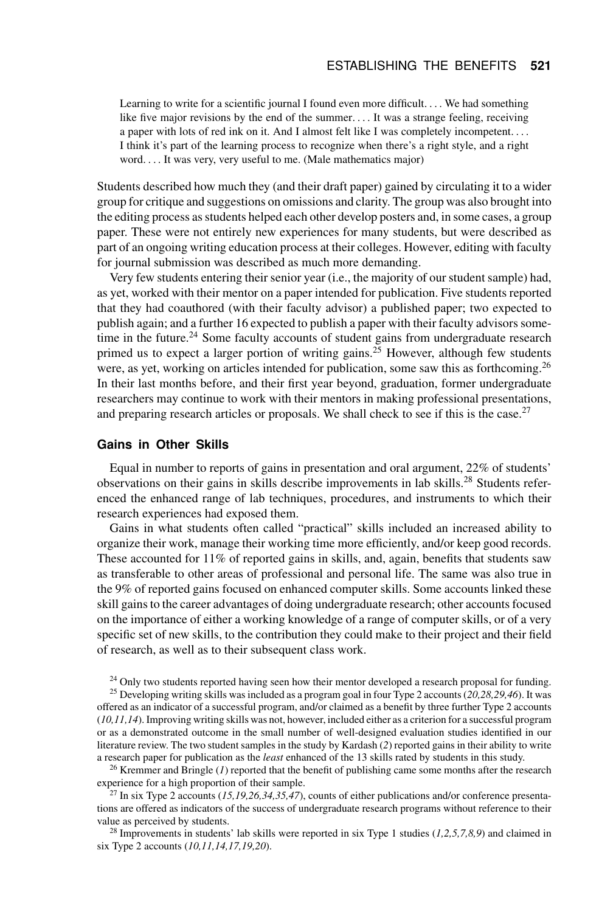Learning to write for a scientific journal I found even more difficult... . We had something like five major revisions by the end of the summer... . It was a strange feeling, receiving a paper with lots of red ink on it. And I almost felt like I was completely incompetent... . I think it's part of the learning process to recognize when there's a right style, and a right word... . It was very, very useful to me. (Male mathematics major)

Students described how much they (and their draft paper) gained by circulating it to a wider group for critique and suggestions on omissions and clarity. The group was also brought into the editing process as students helped each other develop posters and, in some cases, a group paper. These were not entirely new experiences for many students, but were described as part of an ongoing writing education process at their colleges. However, editing with faculty for journal submission was described as much more demanding.

Very few students entering their senior year (i.e., the majority of our student sample) had, as yet, worked with their mentor on a paper intended for publication. Five students reported that they had coauthored (with their faculty advisor) a published paper; two expected to publish again; and a further 16 expected to publish a paper with their faculty advisors sometime in the future.<sup>24</sup> Some faculty accounts of student gains from undergraduate research primed us to expect a larger portion of writing gains.<sup>25</sup> However, although few students were, as yet, working on articles intended for publication, some saw this as forthcoming.<sup>26</sup> In their last months before, and their first year beyond, graduation, former undergraduate researchers may continue to work with their mentors in making professional presentations, and preparing research articles or proposals. We shall check to see if this is the case.<sup>27</sup>

#### **Gains in Other Skills**

Equal in number to reports of gains in presentation and oral argument, 22% of students' observations on their gains in skills describe improvements in lab skills.<sup>28</sup> Students referenced the enhanced range of lab techniques, procedures, and instruments to which their research experiences had exposed them.

Gains in what students often called "practical" skills included an increased ability to organize their work, manage their working time more efficiently, and/or keep good records. These accounted for 11% of reported gains in skills, and, again, benefits that students saw as transferable to other areas of professional and personal life. The same was also true in the 9% of reported gains focused on enhanced computer skills. Some accounts linked these skill gains to the career advantages of doing undergraduate research; other accounts focused on the importance of either a working knowledge of a range of computer skills, or of a very specific set of new skills, to the contribution they could make to their project and their field of research, as well as to their subsequent class work.

<sup>24</sup> Only two students reported having seen how their mentor developed a research proposal for funding.

<sup>25</sup> Developing writing skills was included as a program goal in four Type 2 accounts (*20,28,29,46*). It was offered as an indicator of a successful program, and/or claimed as a benefit by three further Type 2 accounts (*10,11,14*). Improving writing skills was not, however, included either as a criterion for a successful program or as a demonstrated outcome in the small number of well-designed evaluation studies identified in our literature review. The two student samples in the study by Kardash (*2*) reported gains in their ability to write a research paper for publication as the *least* enhanced of the 13 skills rated by students in this study.

<sup>26</sup> Kremmer and Bringle (*1*) reported that the benefit of publishing came some months after the research experience for a high proportion of their sample.

<sup>27</sup> In six Type 2 accounts (*15,19,26,34,35,47*), counts of either publications and/or conference presentations are offered as indicators of the success of undergraduate research programs without reference to their value as perceived by students.

<sup>28</sup> Improvements in students' lab skills were reported in six Type 1 studies (*1,2,5,7,8,9*) and claimed in six Type 2 accounts (*10,11,14,17,19,20*).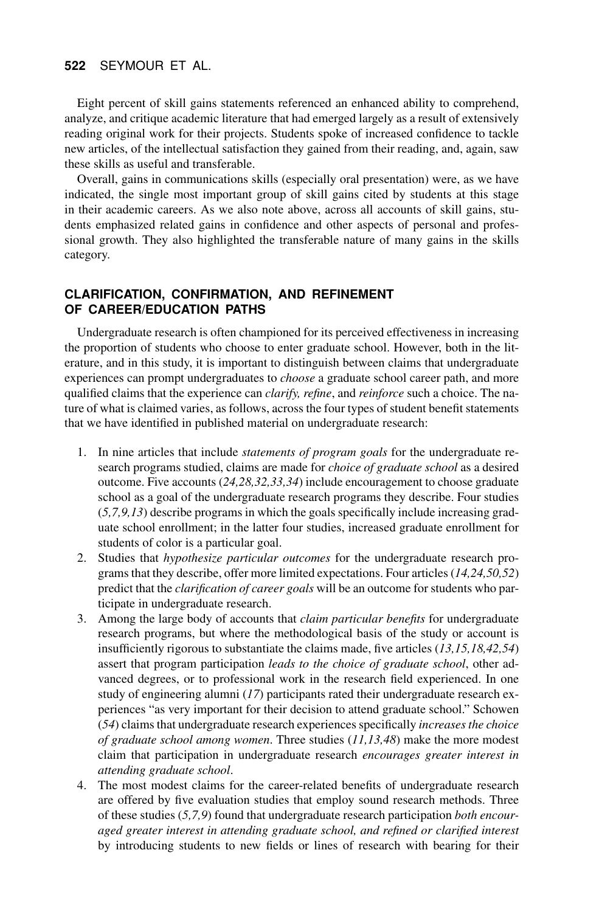Eight percent of skill gains statements referenced an enhanced ability to comprehend, analyze, and critique academic literature that had emerged largely as a result of extensively reading original work for their projects. Students spoke of increased confidence to tackle new articles, of the intellectual satisfaction they gained from their reading, and, again, saw these skills as useful and transferable.

Overall, gains in communications skills (especially oral presentation) were, as we have indicated, the single most important group of skill gains cited by students at this stage in their academic careers. As we also note above, across all accounts of skill gains, students emphasized related gains in confidence and other aspects of personal and professional growth. They also highlighted the transferable nature of many gains in the skills category.

# **CLARIFICATION, CONFIRMATION, AND REFINEMENT OF CAREER/EDUCATION PATHS**

Undergraduate research is often championed for its perceived effectiveness in increasing the proportion of students who choose to enter graduate school. However, both in the literature, and in this study, it is important to distinguish between claims that undergraduate experiences can prompt undergraduates to *choose* a graduate school career path, and more qualified claims that the experience can *clarify, refine*, and *reinforce* such a choice. The nature of what is claimed varies, as follows, across the four types of student benefit statements that we have identified in published material on undergraduate research:

- 1. In nine articles that include *statements of program goals* for the undergraduate research programs studied, claims are made for *choice of graduate school* as a desired outcome. Five accounts (*24,28,32,33,34*) include encouragement to choose graduate school as a goal of the undergraduate research programs they describe. Four studies (*5,7,9,13*) describe programs in which the goals specifically include increasing graduate school enrollment; in the latter four studies, increased graduate enrollment for students of color is a particular goal.
- 2. Studies that *hypothesize particular outcomes* for the undergraduate research programs that they describe, offer more limited expectations. Four articles (*14,24,50,52*) predict that the *clarification of career goals* will be an outcome for students who participate in undergraduate research.
- 3. Among the large body of accounts that *claim particular benefits* for undergraduate research programs, but where the methodological basis of the study or account is insufficiently rigorous to substantiate the claims made, five articles (*13,15,18,42,54*) assert that program participation *leads to the choice of graduate school*, other advanced degrees, or to professional work in the research field experienced. In one study of engineering alumni (*17*) participants rated their undergraduate research experiences "as very important for their decision to attend graduate school." Schowen (*54*) claims that undergraduate research experiences specifically *increases the choice of graduate school among women*. Three studies (*11,13,48*) make the more modest claim that participation in undergraduate research *encourages greater interest in attending graduate school*.
- 4. The most modest claims for the career-related benefits of undergraduate research are offered by five evaluation studies that employ sound research methods. Three of these studies (*5,7,9*) found that undergraduate research participation *both encouraged greater interest in attending graduate school, and refined or clarified interest* by introducing students to new fields or lines of research with bearing for their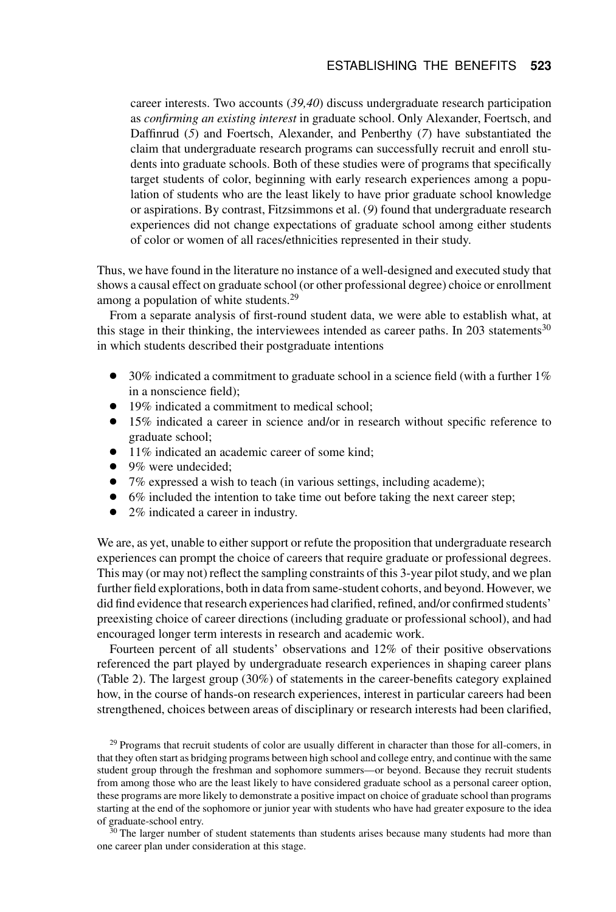career interests. Two accounts (*39,40*) discuss undergraduate research participation as *confirming an existing interest* in graduate school. Only Alexander, Foertsch, and Daffinrud (*5*) and Foertsch, Alexander, and Penberthy (*7*) have substantiated the claim that undergraduate research programs can successfully recruit and enroll students into graduate schools. Both of these studies were of programs that specifically target students of color, beginning with early research experiences among a population of students who are the least likely to have prior graduate school knowledge or aspirations. By contrast, Fitzsimmons et al. (*9*) found that undergraduate research experiences did not change expectations of graduate school among either students of color or women of all races/ethnicities represented in their study.

Thus, we have found in the literature no instance of a well-designed and executed study that shows a causal effect on graduate school (or other professional degree) choice or enrollment among a population of white students.29

From a separate analysis of first-round student data, we were able to establish what, at this stage in their thinking, the interviewees intended as career paths. In  $203$  statements<sup>30</sup> in which students described their postgraduate intentions

- 30% indicated a commitment to graduate school in a science field (with a further  $1\%$ in a nonscience field);
- 19% indicated a commitment to medical school;
- 15% indicated a career in science and/or in research without specific reference to graduate school;
- 11% indicated an academic career of some kind;
- 9% were undecided:
- 7% expressed a wish to teach (in various settings, including academe);
- 6% included the intention to take time out before taking the next career step;
- 2% indicated a career in industry.

We are, as yet, unable to either support or refute the proposition that undergraduate research experiences can prompt the choice of careers that require graduate or professional degrees. This may (or may not) reflect the sampling constraints of this 3-year pilot study, and we plan further field explorations, both in data from same-student cohorts, and beyond. However, we did find evidence that research experiences had clarified, refined, and/or confirmed students' preexisting choice of career directions (including graduate or professional school), and had encouraged longer term interests in research and academic work.

Fourteen percent of all students' observations and 12% of their positive observations referenced the part played by undergraduate research experiences in shaping career plans (Table 2). The largest group (30%) of statements in the career-benefits category explained how, in the course of hands-on research experiences, interest in particular careers had been strengthened, choices between areas of disciplinary or research interests had been clarified,

 $29$  Programs that recruit students of color are usually different in character than those for all-comers, in that they often start as bridging programs between high school and college entry, and continue with the same student group through the freshman and sophomore summers—or beyond. Because they recruit students from among those who are the least likely to have considered graduate school as a personal career option, these programs are more likely to demonstrate a positive impact on choice of graduate school than programs starting at the end of the sophomore or junior year with students who have had greater exposure to the idea of graduate-school entry.

<sup>30</sup> The larger number of student statements than students arises because many students had more than one career plan under consideration at this stage.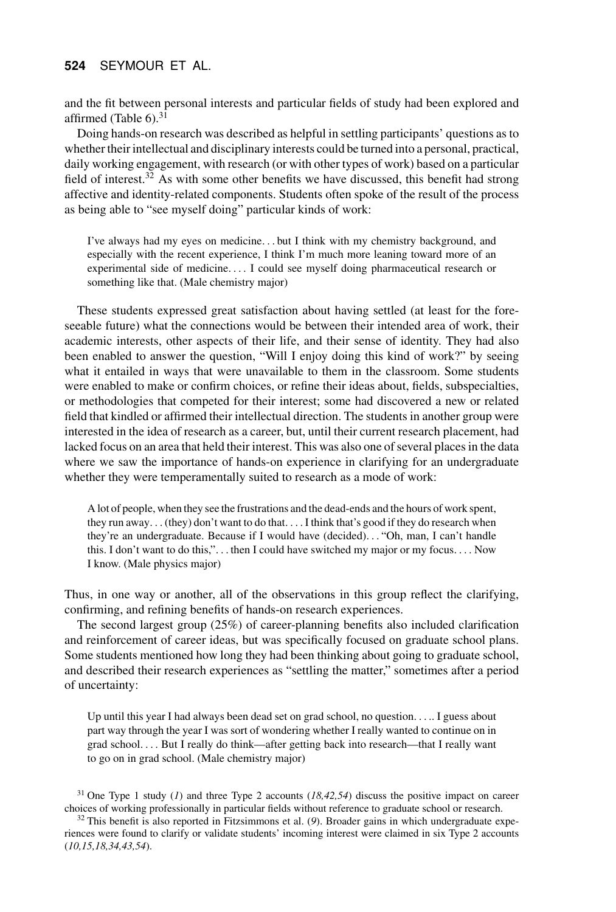and the fit between personal interests and particular fields of study had been explored and affirmed (Table  $6$ ).<sup>31</sup>

Doing hands-on research was described as helpful in settling participants' questions as to whether their intellectual and disciplinary interests could be turned into a personal, practical, daily working engagement, with research (or with other types of work) based on a particular field of interest.<sup>32</sup> As with some other benefits we have discussed, this benefit had strong affective and identity-related components. Students often spoke of the result of the process as being able to "see myself doing" particular kinds of work:

I've always had my eyes on medicine... but I think with my chemistry background, and especially with the recent experience, I think I'm much more leaning toward more of an experimental side of medicine... . I could see myself doing pharmaceutical research or something like that. (Male chemistry major)

These students expressed great satisfaction about having settled (at least for the foreseeable future) what the connections would be between their intended area of work, their academic interests, other aspects of their life, and their sense of identity. They had also been enabled to answer the question, "Will I enjoy doing this kind of work?" by seeing what it entailed in ways that were unavailable to them in the classroom. Some students were enabled to make or confirm choices, or refine their ideas about, fields, subspecialties, or methodologies that competed for their interest; some had discovered a new or related field that kindled or affirmed their intellectual direction. The students in another group were interested in the idea of research as a career, but, until their current research placement, had lacked focus on an area that held their interest. This was also one of several places in the data where we saw the importance of hands-on experience in clarifying for an undergraduate whether they were temperamentally suited to research as a mode of work:

A lot of people, when they see the frustrations and the dead-ends and the hours of work spent, they run away...(they) don't want to do that... . I think that's good if they do research when they're an undergraduate. Because if I would have (decided)... "Oh, man, I can't handle this. I don't want to do this,"... then I could have switched my major or my focus... . Now I know. (Male physics major)

Thus, in one way or another, all of the observations in this group reflect the clarifying, confirming, and refining benefits of hands-on research experiences.

The second largest group (25%) of career-planning benefits also included clarification and reinforcement of career ideas, but was specifically focused on graduate school plans. Some students mentioned how long they had been thinking about going to graduate school, and described their research experiences as "settling the matter," sometimes after a period of uncertainty:

Up until this year I had always been dead set on grad school, no question... .. I guess about part way through the year I was sort of wondering whether I really wanted to continue on in grad school... . But I really do think—after getting back into research—that I really want to go on in grad school. (Male chemistry major)

<sup>31</sup> One Type 1 study (*1*) and three Type 2 accounts (*18,42,54*) discuss the positive impact on career choices of working professionally in particular fields without reference to graduate school or research.

<sup>32</sup> This benefit is also reported in Fitzsimmons et al. (*9*). Broader gains in which undergraduate experiences were found to clarify or validate students' incoming interest were claimed in six Type 2 accounts (*10,15,18,34,43,54*).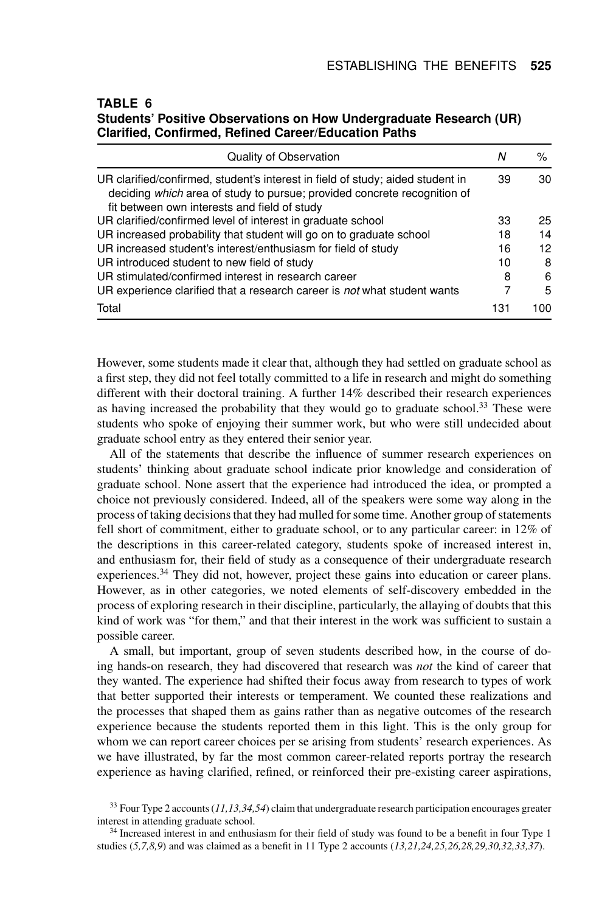| TABLE 6                                                            |
|--------------------------------------------------------------------|
| Students' Positive Observations on How Undergraduate Research (UR) |
| <b>Clarified, Confirmed, Refined Career/Education Paths</b>        |

| <b>Quality of Observation</b>                                                                                                                                                                              | N   | %   |
|------------------------------------------------------------------------------------------------------------------------------------------------------------------------------------------------------------|-----|-----|
| UR clarified/confirmed, student's interest in field of study; aided student in<br>deciding which area of study to pursue; provided concrete recognition of<br>fit between own interests and field of study | 39  | 30  |
| UR clarified/confirmed level of interest in graduate school                                                                                                                                                | 33  | 25  |
| UR increased probability that student will go on to graduate school                                                                                                                                        | 18  | 14  |
| UR increased student's interest/enthusiasm for field of study                                                                                                                                              | 16  | 12  |
| UR introduced student to new field of study                                                                                                                                                                | 10  | 8   |
| UR stimulated/confirmed interest in research career                                                                                                                                                        | 8   | 6   |
| UR experience clarified that a research career is not what student wants                                                                                                                                   |     | 5   |
| Total                                                                                                                                                                                                      | 131 | 100 |

However, some students made it clear that, although they had settled on graduate school as a first step, they did not feel totally committed to a life in research and might do something different with their doctoral training. A further 14% described their research experiences as having increased the probability that they would go to graduate school.<sup>33</sup> These were students who spoke of enjoying their summer work, but who were still undecided about graduate school entry as they entered their senior year.

All of the statements that describe the influence of summer research experiences on students' thinking about graduate school indicate prior knowledge and consideration of graduate school. None assert that the experience had introduced the idea, or prompted a choice not previously considered. Indeed, all of the speakers were some way along in the process of taking decisions that they had mulled for some time. Another group of statements fell short of commitment, either to graduate school, or to any particular career: in 12% of the descriptions in this career-related category, students spoke of increased interest in, and enthusiasm for, their field of study as a consequence of their undergraduate research experiences.<sup>34</sup> They did not, however, project these gains into education or career plans. However, as in other categories, we noted elements of self-discovery embedded in the process of exploring research in their discipline, particularly, the allaying of doubts that this kind of work was "for them," and that their interest in the work was sufficient to sustain a possible career.

A small, but important, group of seven students described how, in the course of doing hands-on research, they had discovered that research was *not* the kind of career that they wanted. The experience had shifted their focus away from research to types of work that better supported their interests or temperament. We counted these realizations and the processes that shaped them as gains rather than as negative outcomes of the research experience because the students reported them in this light. This is the only group for whom we can report career choices per se arising from students' research experiences. As we have illustrated, by far the most common career-related reports portray the research experience as having clarified, refined, or reinforced their pre-existing career aspirations,

<sup>33</sup> Four Type 2 accounts (*11,13,34,54*) claim that undergraduate research participation encourages greater interest in attending graduate school.

<sup>&</sup>lt;sup>34</sup> Increased interest in and enthusiasm for their field of study was found to be a benefit in four Type 1 studies (*5,7,8,9*) and was claimed as a benefit in 11 Type 2 accounts (*13,21,24,25,26,28,29,30,32,33,37*).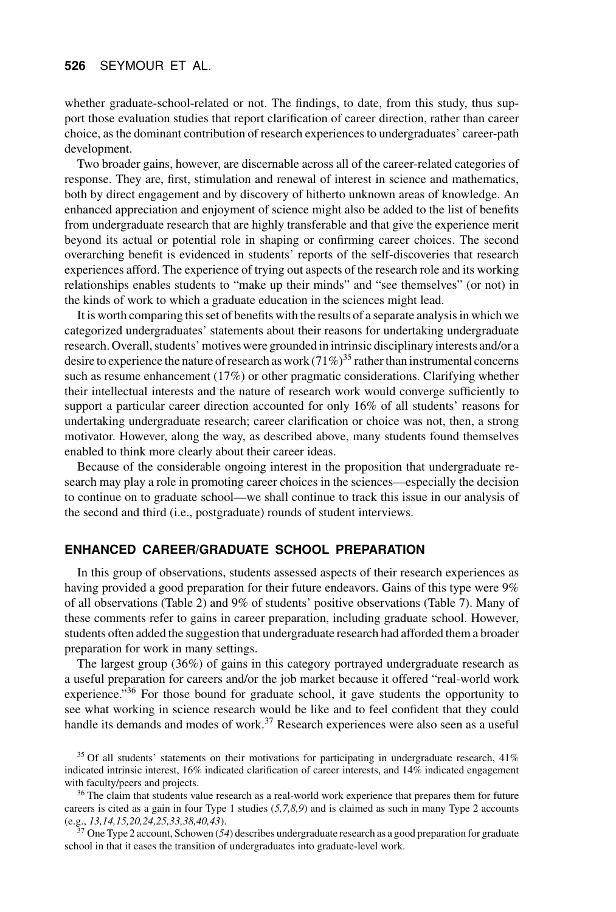whether graduate-school-related or not. The findings, to date, from this study, thus support those evaluation studies that report clarification of career direction, rather than career choice, as the dominant contribution of research experiences to undergraduates' career-path development.

Two broader gains, however, are discernable across all of the career-related categories of response. They are, first, stimulation and renewal of interest in science and mathematics, both by direct engagement and by discovery of hitherto unknown areas of knowledge. An enhanced appreciation and enjoyment of science might also be added to the list of benefits from undergraduate research that are highly transferable and that give the experience merit beyond its actual or potential role in shaping or confirming career choices. The second overarching benefit is evidenced in students' reports of the self-discoveries that research experiences afford. The experience of trying out aspects of the research role and its working relationships enables students to "make up their minds" and "see themselves" (or not) in the kinds of work to which a graduate education in the sciences might lead.

It is worth comparing this set of benefits with the results of a separate analysis in which we categorized undergraduates' statements about their reasons for undertaking undergraduate research. Overall, students'motives were grounded in intrinsic disciplinary interests and/or a desire to experience the nature of research as work  $(71\%)^{35}$  rather than instrumental concerns such as resume enhancement (17%) or other pragmatic considerations. Clarifying whether their intellectual interests and the nature of research work would converge sufficiently to support a particular career direction accounted for only 16% of all students' reasons for undertaking undergraduate research; career clarification or choice was not, then, a strong motivator. However, along the way, as described above, many students found themselves enabled to think more clearly about their career ideas.

Because of the considerable ongoing interest in the proposition that undergraduate research may play a role in promoting career choices in the sciences—especially the decision to continue on to graduate school—we shall continue to track this issue in our analysis of the second and third (i.e., postgraduate) rounds of student interviews.

# **ENHANCED CAREER/GRADUATE SCHOOL PREPARATION**

In this group of observations, students assessed aspects of their research experiences as having provided a good preparation for their future endeavors. Gains of this type were 9% of all observations (Table 2) and 9% of students' positive observations (Table 7). Many of these comments refer to gains in career preparation, including graduate school. However, students often added the suggestion that undergraduate research had afforded them a broader preparation for work in many settings.

The largest group (36%) of gains in this category portrayed undergraduate research as a useful preparation for careers and/or the job market because it offered "real-world work experience."<sup>36</sup> For those bound for graduate school, it gave students the opportunity to see what working in science research would be like and to feel confident that they could handle its demands and modes of work.<sup>37</sup> Research experiences were also seen as a useful

<sup>37</sup> One Type 2 account, Schowen (54) describes undergraduate research as a good preparation for graduate school in that it eases the transition of undergraduates into graduate-level work.

 $35$  Of all students' statements on their motivations for participating in undergraduate research, 41% indicated intrinsic interest, 16% indicated clarification of career interests, and 14% indicated engagement with faculty/peers and projects.

<sup>&</sup>lt;sup>36</sup> The claim that students value research as a real-world work experience that prepares them for future careers is cited as a gain in four Type 1 studies (*5,7,8,9*) and is claimed as such in many Type 2 accounts (e.g., *13,14,15,20,24,25,33,38,40,43*).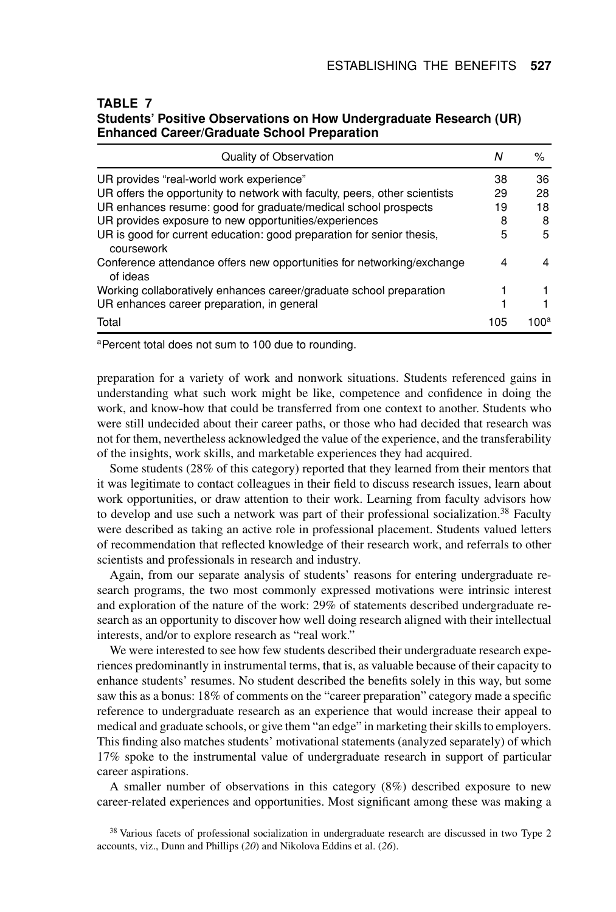| <b>TABLE 7</b>                                                     |
|--------------------------------------------------------------------|
| Students' Positive Observations on How Undergraduate Research (UR) |
| <b>Enhanced Career/Graduate School Preparation</b>                 |

| <b>Quality of Observation</b>                                                       | N   | %    |
|-------------------------------------------------------------------------------------|-----|------|
| UR provides "real-world work experience"                                            | 38  | 36   |
| UR offers the opportunity to network with faculty, peers, other scientists          | 29  | 28   |
| UR enhances resume: good for graduate/medical school prospects                      | 19  | 18   |
| UR provides exposure to new opportunities/experiences                               | 8   | 8    |
| UR is good for current education: good preparation for senior thesis,<br>coursework | 5   | 5    |
| Conference attendance offers new opportunities for networking/exchange<br>of ideas  | 4   | 4    |
| Working collaboratively enhances career/graduate school preparation                 |     |      |
| UR enhances career preparation, in general                                          |     |      |
| Total                                                                               | 105 | 100ª |

aPercent total does not sum to 100 due to rounding.

preparation for a variety of work and nonwork situations. Students referenced gains in understanding what such work might be like, competence and confidence in doing the work, and know-how that could be transferred from one context to another. Students who were still undecided about their career paths, or those who had decided that research was not for them, nevertheless acknowledged the value of the experience, and the transferability of the insights, work skills, and marketable experiences they had acquired.

Some students (28% of this category) reported that they learned from their mentors that it was legitimate to contact colleagues in their field to discuss research issues, learn about work opportunities, or draw attention to their work. Learning from faculty advisors how to develop and use such a network was part of their professional socialization.<sup>38</sup> Faculty were described as taking an active role in professional placement. Students valued letters of recommendation that reflected knowledge of their research work, and referrals to other scientists and professionals in research and industry.

Again, from our separate analysis of students' reasons for entering undergraduate research programs, the two most commonly expressed motivations were intrinsic interest and exploration of the nature of the work: 29% of statements described undergraduate research as an opportunity to discover how well doing research aligned with their intellectual interests, and/or to explore research as "real work."

We were interested to see how few students described their undergraduate research experiences predominantly in instrumental terms, that is, as valuable because of their capacity to enhance students' resumes. No student described the benefits solely in this way, but some saw this as a bonus: 18% of comments on the "career preparation" category made a specific reference to undergraduate research as an experience that would increase their appeal to medical and graduate schools, or give them "an edge" in marketing their skills to employers. This finding also matches students' motivational statements (analyzed separately) of which 17% spoke to the instrumental value of undergraduate research in support of particular career aspirations.

A smaller number of observations in this category (8%) described exposure to new career-related experiences and opportunities. Most significant among these was making a

<sup>38</sup> Various facets of professional socialization in undergraduate research are discussed in two Type 2 accounts, viz., Dunn and Phillips (*20*) and Nikolova Eddins et al. (*26*).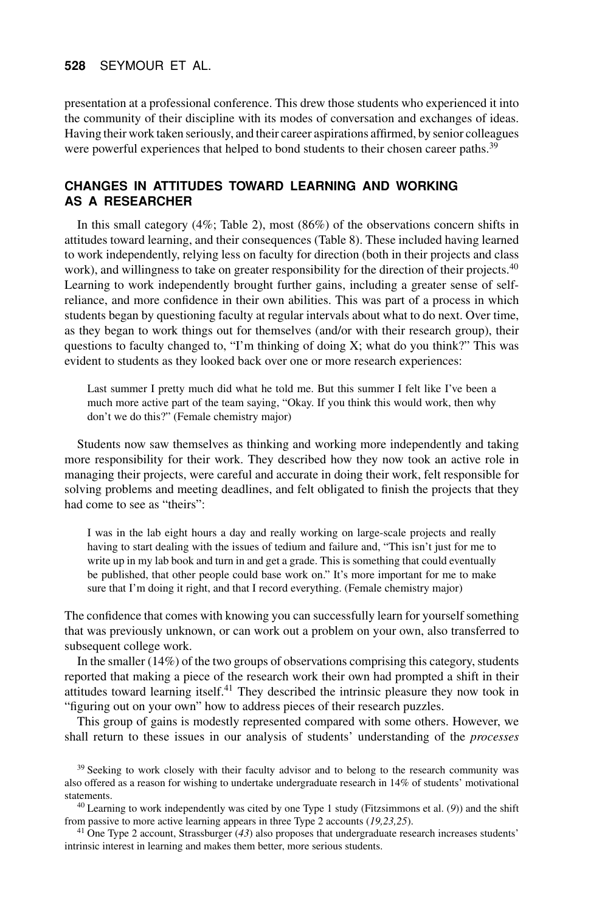presentation at a professional conference. This drew those students who experienced it into the community of their discipline with its modes of conversation and exchanges of ideas. Having their work taken seriously, and their career aspirations affirmed, by senior colleagues were powerful experiences that helped to bond students to their chosen career paths.<sup>39</sup>

# **CHANGES IN ATTITUDES TOWARD LEARNING AND WORKING AS A RESEARCHER**

In this small category  $(4\%;$  Table 2), most  $(86\%)$  of the observations concern shifts in attitudes toward learning, and their consequences (Table 8). These included having learned to work independently, relying less on faculty for direction (both in their projects and class work), and willingness to take on greater responsibility for the direction of their projects.<sup>40</sup> Learning to work independently brought further gains, including a greater sense of selfreliance, and more confidence in their own abilities. This was part of a process in which students began by questioning faculty at regular intervals about what to do next. Over time, as they began to work things out for themselves (and/or with their research group), their questions to faculty changed to, "I'm thinking of doing X; what do you think?" This was evident to students as they looked back over one or more research experiences:

Last summer I pretty much did what he told me. But this summer I felt like I've been a much more active part of the team saying, "Okay. If you think this would work, then why don't we do this?" (Female chemistry major)

Students now saw themselves as thinking and working more independently and taking more responsibility for their work. They described how they now took an active role in managing their projects, were careful and accurate in doing their work, felt responsible for solving problems and meeting deadlines, and felt obligated to finish the projects that they had come to see as "theirs":

I was in the lab eight hours a day and really working on large-scale projects and really having to start dealing with the issues of tedium and failure and, "This isn't just for me to write up in my lab book and turn in and get a grade. This is something that could eventually be published, that other people could base work on." It's more important for me to make sure that I'm doing it right, and that I record everything. (Female chemistry major)

The confidence that comes with knowing you can successfully learn for yourself something that was previously unknown, or can work out a problem on your own, also transferred to subsequent college work.

In the smaller (14%) of the two groups of observations comprising this category, students reported that making a piece of the research work their own had prompted a shift in their attitudes toward learning itself.<sup>41</sup> They described the intrinsic pleasure they now took in "figuring out on your own" how to address pieces of their research puzzles.

This group of gains is modestly represented compared with some others. However, we shall return to these issues in our analysis of students' understanding of the *processes*

<sup>&</sup>lt;sup>39</sup> Seeking to work closely with their faculty advisor and to belong to the research community was also offered as a reason for wishing to undertake undergraduate research in 14% of students' motivational statements.

<sup>40</sup> Learning to work independently was cited by one Type 1 study (Fitzsimmons et al. (*9*)) and the shift from passive to more active learning appears in three Type 2 accounts (*19,23,25*).

<sup>41</sup> One Type 2 account, Strassburger (*43*) also proposes that undergraduate research increases students' intrinsic interest in learning and makes them better, more serious students.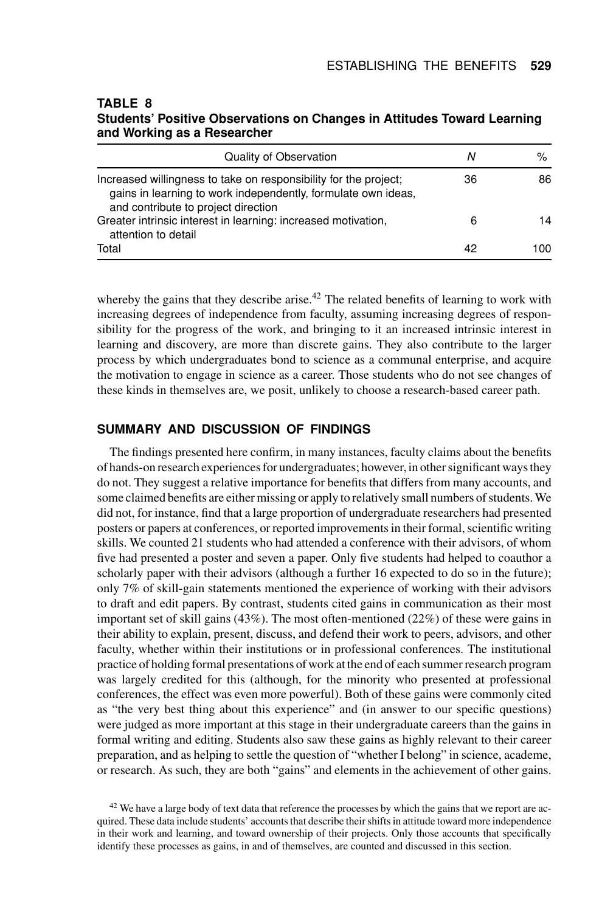| <b>Quality of Observation</b>                                                                                                                                            | N  | %   |
|--------------------------------------------------------------------------------------------------------------------------------------------------------------------------|----|-----|
| Increased willingness to take on responsibility for the project;<br>gains in learning to work independently, formulate own ideas,<br>and contribute to project direction | 36 | 86  |
| Greater intrinsic interest in learning: increased motivation,<br>attention to detail                                                                                     | 6  | 14  |
| Total                                                                                                                                                                    | 42 | 100 |

#### **TABLE 8 Students' Positive Observations on Changes in Attitudes Toward Learning and Working as a Researcher**

whereby the gains that they describe arise.<sup>42</sup> The related benefits of learning to work with increasing degrees of independence from faculty, assuming increasing degrees of responsibility for the progress of the work, and bringing to it an increased intrinsic interest in learning and discovery, are more than discrete gains. They also contribute to the larger process by which undergraduates bond to science as a communal enterprise, and acquire the motivation to engage in science as a career. Those students who do not see changes of these kinds in themselves are, we posit, unlikely to choose a research-based career path.

## **SUMMARY AND DISCUSSION OF FINDINGS**

The findings presented here confirm, in many instances, faculty claims about the benefits of hands-on research experiences for undergraduates; however, in other significant ways they do not. They suggest a relative importance for benefits that differs from many accounts, and some claimed benefits are either missing or apply to relatively small numbers of students. We did not, for instance, find that a large proportion of undergraduate researchers had presented posters or papers at conferences, or reported improvements in their formal, scientific writing skills. We counted 21 students who had attended a conference with their advisors, of whom five had presented a poster and seven a paper. Only five students had helped to coauthor a scholarly paper with their advisors (although a further 16 expected to do so in the future); only 7% of skill-gain statements mentioned the experience of working with their advisors to draft and edit papers. By contrast, students cited gains in communication as their most important set of skill gains (43%). The most often-mentioned (22%) of these were gains in their ability to explain, present, discuss, and defend their work to peers, advisors, and other faculty, whether within their institutions or in professional conferences. The institutional practice of holding formal presentations of work at the end of each summer research program was largely credited for this (although, for the minority who presented at professional conferences, the effect was even more powerful). Both of these gains were commonly cited as "the very best thing about this experience" and (in answer to our specific questions) were judged as more important at this stage in their undergraduate careers than the gains in formal writing and editing. Students also saw these gains as highly relevant to their career preparation, and as helping to settle the question of "whether I belong" in science, academe, or research. As such, they are both "gains" and elements in the achievement of other gains.

<sup>&</sup>lt;sup>42</sup> We have a large body of text data that reference the processes by which the gains that we report are acquired. These data include students' accounts that describe their shifts in attitude toward more independence in their work and learning, and toward ownership of their projects. Only those accounts that specifically identify these processes as gains, in and of themselves, are counted and discussed in this section.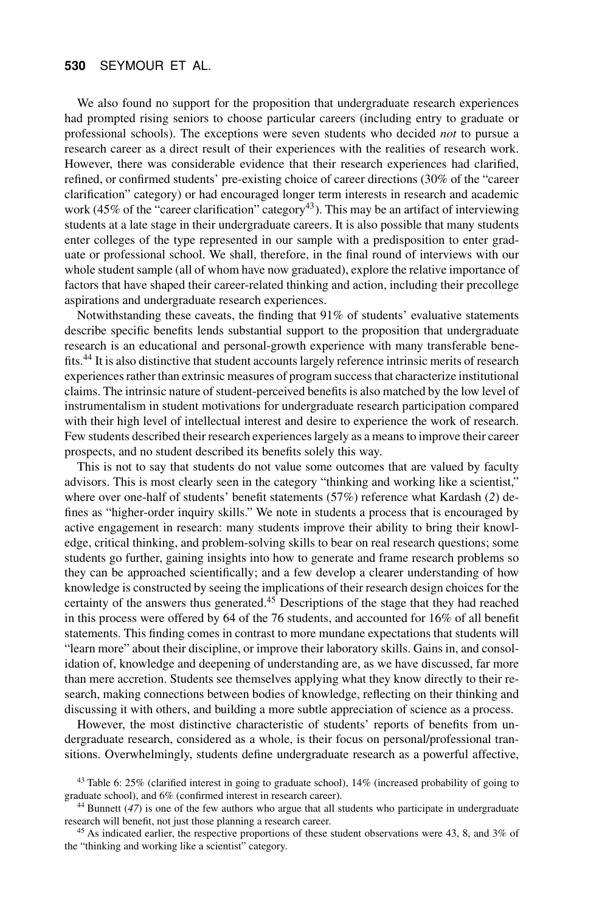We also found no support for the proposition that undergraduate research experiences had prompted rising seniors to choose particular careers (including entry to graduate or professional schools). The exceptions were seven students who decided *not* to pursue a research career as a direct result of their experiences with the realities of research work. However, there was considerable evidence that their research experiences had clarified, refined, or confirmed students' pre-existing choice of career directions (30% of the "career clarification" category) or had encouraged longer term interests in research and academic work (45% of the "career clarification" category<sup>43</sup>). This may be an artifact of interviewing students at a late stage in their undergraduate careers. It is also possible that many students enter colleges of the type represented in our sample with a predisposition to enter graduate or professional school. We shall, therefore, in the final round of interviews with our whole student sample (all of whom have now graduated), explore the relative importance of factors that have shaped their career-related thinking and action, including their precollege aspirations and undergraduate research experiences.

Notwithstanding these caveats, the finding that 91% of students' evaluative statements describe specific benefits lends substantial support to the proposition that undergraduate research is an educational and personal-growth experience with many transferable benefits.44 It is also distinctive that student accounts largely reference intrinsic merits of research experiences rather than extrinsic measures of program success that characterize institutional claims. The intrinsic nature of student-perceived benefits is also matched by the low level of instrumentalism in student motivations for undergraduate research participation compared with their high level of intellectual interest and desire to experience the work of research. Few students described their research experiences largely as a means to improve their career prospects, and no student described its benefits solely this way.

This is not to say that students do not value some outcomes that are valued by faculty advisors. This is most clearly seen in the category "thinking and working like a scientist," where over one-half of students' benefit statements (57%) reference what Kardash (*2*) defines as "higher-order inquiry skills." We note in students a process that is encouraged by active engagement in research: many students improve their ability to bring their knowledge, critical thinking, and problem-solving skills to bear on real research questions; some students go further, gaining insights into how to generate and frame research problems so they can be approached scientifically; and a few develop a clearer understanding of how knowledge is constructed by seeing the implications of their research design choices for the certainty of the answers thus generated.<sup>45</sup> Descriptions of the stage that they had reached in this process were offered by 64 of the 76 students, and accounted for 16% of all benefit statements. This finding comes in contrast to more mundane expectations that students will "learn more" about their discipline, or improve their laboratory skills. Gains in, and consolidation of, knowledge and deepening of understanding are, as we have discussed, far more than mere accretion. Students see themselves applying what they know directly to their research, making connections between bodies of knowledge, reflecting on their thinking and discussing it with others, and building a more subtle appreciation of science as a process.

However, the most distinctive characteristic of students' reports of benefits from undergraduate research, considered as a whole, is their focus on personal/professional transitions. Overwhelmingly, students define undergraduate research as a powerful affective,

<sup>43</sup> Table 6: 25% (clarified interest in going to graduate school), 14% (increased probability of going to graduate school), and 6% (confirmed interest in research career).

<sup>44</sup> Bunnett (*47*) is one of the few authors who argue that all students who participate in undergraduate research will benefit, not just those planning a research career.

<sup>45</sup> As indicated earlier, the respective proportions of these student observations were 43, 8, and 3% of the "thinking and working like a scientist" category.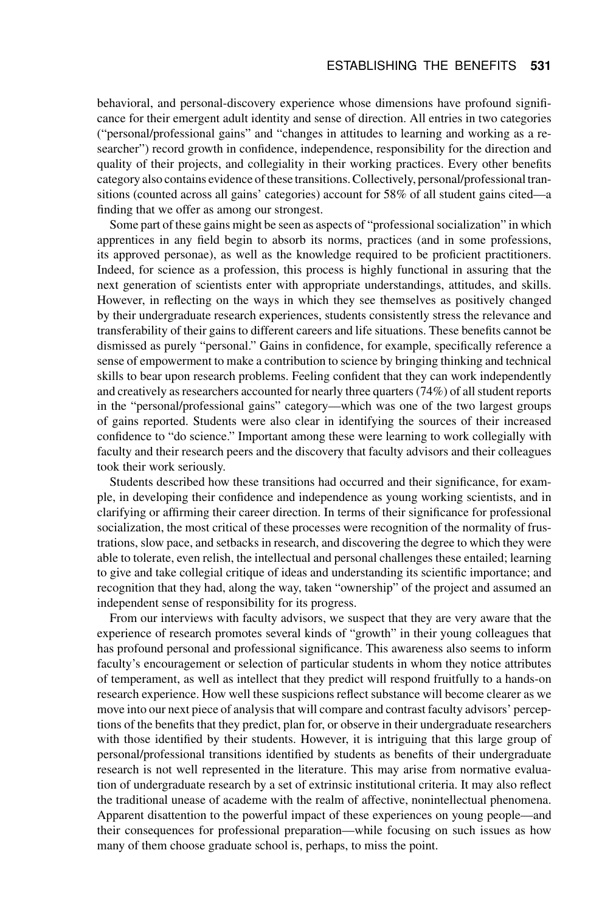behavioral, and personal-discovery experience whose dimensions have profound significance for their emergent adult identity and sense of direction. All entries in two categories ("personal/professional gains" and "changes in attitudes to learning and working as a researcher") record growth in confidence, independence, responsibility for the direction and quality of their projects, and collegiality in their working practices. Every other benefits category also contains evidence of these transitions. Collectively, personal/professional transitions (counted across all gains' categories) account for 58% of all student gains cited—a finding that we offer as among our strongest.

Some part of these gains might be seen as aspects of "professional socialization" in which apprentices in any field begin to absorb its norms, practices (and in some professions, its approved personae), as well as the knowledge required to be proficient practitioners. Indeed, for science as a profession, this process is highly functional in assuring that the next generation of scientists enter with appropriate understandings, attitudes, and skills. However, in reflecting on the ways in which they see themselves as positively changed by their undergraduate research experiences, students consistently stress the relevance and transferability of their gains to different careers and life situations. These benefits cannot be dismissed as purely "personal." Gains in confidence, for example, specifically reference a sense of empowerment to make a contribution to science by bringing thinking and technical skills to bear upon research problems. Feeling confident that they can work independently and creatively as researchers accounted for nearly three quarters (74%) of all student reports in the "personal/professional gains" category—which was one of the two largest groups of gains reported. Students were also clear in identifying the sources of their increased confidence to "do science." Important among these were learning to work collegially with faculty and their research peers and the discovery that faculty advisors and their colleagues took their work seriously.

Students described how these transitions had occurred and their significance, for example, in developing their confidence and independence as young working scientists, and in clarifying or affirming their career direction. In terms of their significance for professional socialization, the most critical of these processes were recognition of the normality of frustrations, slow pace, and setbacks in research, and discovering the degree to which they were able to tolerate, even relish, the intellectual and personal challenges these entailed; learning to give and take collegial critique of ideas and understanding its scientific importance; and recognition that they had, along the way, taken "ownership" of the project and assumed an independent sense of responsibility for its progress.

From our interviews with faculty advisors, we suspect that they are very aware that the experience of research promotes several kinds of "growth" in their young colleagues that has profound personal and professional significance. This awareness also seems to inform faculty's encouragement or selection of particular students in whom they notice attributes of temperament, as well as intellect that they predict will respond fruitfully to a hands-on research experience. How well these suspicions reflect substance will become clearer as we move into our next piece of analysis that will compare and contrast faculty advisors' perceptions of the benefits that they predict, plan for, or observe in their undergraduate researchers with those identified by their students. However, it is intriguing that this large group of personal/professional transitions identified by students as benefits of their undergraduate research is not well represented in the literature. This may arise from normative evaluation of undergraduate research by a set of extrinsic institutional criteria. It may also reflect the traditional unease of academe with the realm of affective, nonintellectual phenomena. Apparent disattention to the powerful impact of these experiences on young people—and their consequences for professional preparation—while focusing on such issues as how many of them choose graduate school is, perhaps, to miss the point.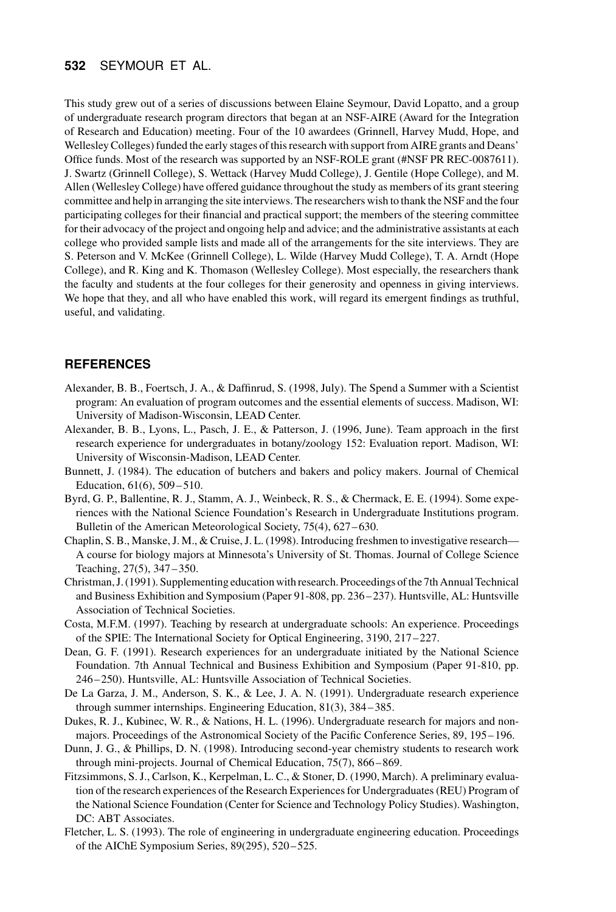This study grew out of a series of discussions between Elaine Seymour, David Lopatto, and a group of undergraduate research program directors that began at an NSF-AIRE (Award for the Integration of Research and Education) meeting. Four of the 10 awardees (Grinnell, Harvey Mudd, Hope, and Wellesley Colleges) funded the early stages of this research with support from AIRE grants and Deans' Office funds. Most of the research was supported by an NSF-ROLE grant (#NSF PR REC-0087611). J. Swartz (Grinnell College), S. Wettack (Harvey Mudd College), J. Gentile (Hope College), and M. Allen (Wellesley College) have offered guidance throughout the study as members of its grant steering committee and help in arranging the site interviews. The researchers wish to thank the NSF and the four participating colleges for their financial and practical support; the members of the steering committee for their advocacy of the project and ongoing help and advice; and the administrative assistants at each college who provided sample lists and made all of the arrangements for the site interviews. They are S. Peterson and V. McKee (Grinnell College), L. Wilde (Harvey Mudd College), T. A. Arndt (Hope College), and R. King and K. Thomason (Wellesley College). Most especially, the researchers thank the faculty and students at the four colleges for their generosity and openness in giving interviews. We hope that they, and all who have enabled this work, will regard its emergent findings as truthful, useful, and validating.

# **REFERENCES**

- Alexander, B. B., Foertsch, J. A., & Daffinrud, S. (1998, July). The Spend a Summer with a Scientist program: An evaluation of program outcomes and the essential elements of success. Madison, WI: University of Madison-Wisconsin, LEAD Center.
- Alexander, B. B., Lyons, L., Pasch, J. E., & Patterson, J. (1996, June). Team approach in the first research experience for undergraduates in botany/zoology 152: Evaluation report. Madison, WI: University of Wisconsin-Madison, LEAD Center.
- Bunnett, J. (1984). The education of butchers and bakers and policy makers. Journal of Chemical Education, 61(6), 509–510.
- Byrd, G. P., Ballentine, R. J., Stamm, A. J., Weinbeck, R. S., & Chermack, E. E. (1994). Some experiences with the National Science Foundation's Research in Undergraduate Institutions program. Bulletin of the American Meteorological Society, 75(4), 627–630.
- Chaplin, S. B., Manske, J. M., & Cruise, J. L. (1998). Introducing freshmen to investigative research— A course for biology majors at Minnesota's University of St. Thomas. Journal of College Science Teaching, 27(5), 347–350.
- Christman, J. (1991). Supplementing education with research. Proceedings of the 7th Annual Technical and Business Exhibition and Symposium (Paper 91-808, pp. 236–237). Huntsville, AL: Huntsville Association of Technical Societies.
- Costa, M.F.M. (1997). Teaching by research at undergraduate schools: An experience. Proceedings of the SPIE: The International Society for Optical Engineering, 3190, 217–227.
- Dean, G. F. (1991). Research experiences for an undergraduate initiated by the National Science Foundation. 7th Annual Technical and Business Exhibition and Symposium (Paper 91-810, pp. 246–250). Huntsville, AL: Huntsville Association of Technical Societies.
- De La Garza, J. M., Anderson, S. K., & Lee, J. A. N. (1991). Undergraduate research experience through summer internships. Engineering Education, 81(3), 384–385.
- Dukes, R. J., Kubinec, W. R., & Nations, H. L. (1996). Undergraduate research for majors and nonmajors. Proceedings of the Astronomical Society of the Pacific Conference Series, 89, 195–196.
- Dunn, J. G., & Phillips, D. N. (1998). Introducing second-year chemistry students to research work through mini-projects. Journal of Chemical Education, 75(7), 866–869.
- Fitzsimmons, S. J., Carlson, K., Kerpelman, L. C., & Stoner, D. (1990, March). A preliminary evaluation of the research experiences of the Research Experiences for Undergraduates (REU) Program of the National Science Foundation (Center for Science and Technology Policy Studies). Washington, DC: ABT Associates.
- Fletcher, L. S. (1993). The role of engineering in undergraduate engineering education. Proceedings of the AIChE Symposium Series, 89(295), 520–525.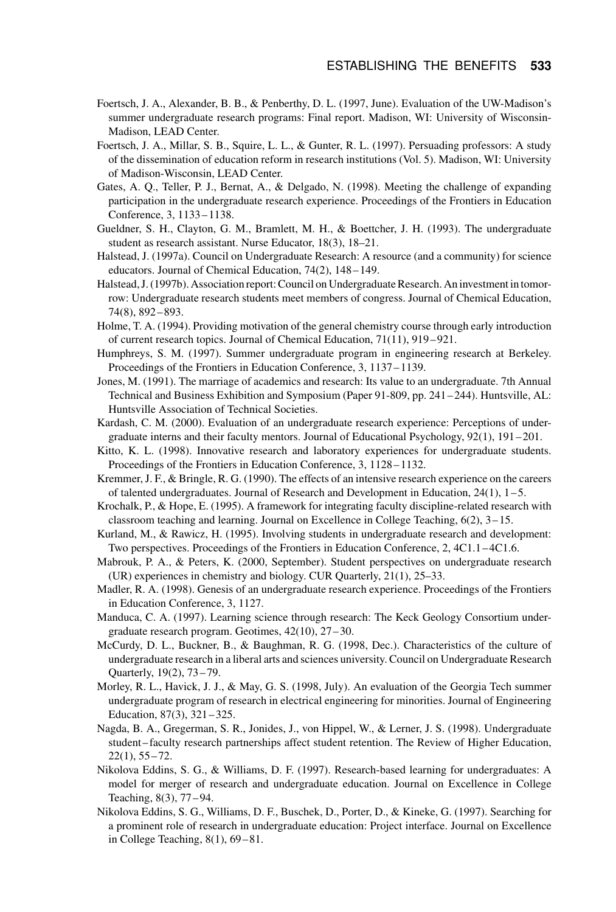- Foertsch, J. A., Alexander, B. B., & Penberthy, D. L. (1997, June). Evaluation of the UW-Madison's summer undergraduate research programs: Final report. Madison, WI: University of Wisconsin-Madison, LEAD Center.
- Foertsch, J. A., Millar, S. B., Squire, L. L., & Gunter, R. L. (1997). Persuading professors: A study of the dissemination of education reform in research institutions (Vol. 5). Madison, WI: University of Madison-Wisconsin, LEAD Center.
- Gates, A. Q., Teller, P. J., Bernat, A., & Delgado, N. (1998). Meeting the challenge of expanding participation in the undergraduate research experience. Proceedings of the Frontiers in Education Conference, 3, 1133–1138.
- Gueldner, S. H., Clayton, G. M., Bramlett, M. H., & Boettcher, J. H. (1993). The undergraduate student as research assistant. Nurse Educator, 18(3), 18–21.
- Halstead, J. (1997a). Council on Undergraduate Research: A resource (and a community) for science educators. Journal of Chemical Education, 74(2), 148–149.
- Halstead, J. (1997b). Association report: Council on Undergraduate Research. An investment in tomorrow: Undergraduate research students meet members of congress. Journal of Chemical Education, 74(8), 892–893.
- Holme, T. A. (1994). Providing motivation of the general chemistry course through early introduction of current research topics. Journal of Chemical Education, 71(11), 919–921.
- Humphreys, S. M. (1997). Summer undergraduate program in engineering research at Berkeley. Proceedings of the Frontiers in Education Conference, 3, 1137–1139.
- Jones, M. (1991). The marriage of academics and research: Its value to an undergraduate. 7th Annual Technical and Business Exhibition and Symposium (Paper 91-809, pp. 241–244). Huntsville, AL: Huntsville Association of Technical Societies.
- Kardash, C. M. (2000). Evaluation of an undergraduate research experience: Perceptions of undergraduate interns and their faculty mentors. Journal of Educational Psychology, 92(1), 191–201.
- Kitto, K. L. (1998). Innovative research and laboratory experiences for undergraduate students. Proceedings of the Frontiers in Education Conference, 3, 1128–1132.
- Kremmer, J. F., & Bringle, R. G. (1990). The effects of an intensive research experience on the careers of talented undergraduates. Journal of Research and Development in Education, 24(1), 1–5.
- Krochalk, P., & Hope, E. (1995). A framework for integrating faculty discipline-related research with classroom teaching and learning. Journal on Excellence in College Teaching, 6(2), 3–15.
- Kurland, M., & Rawicz, H. (1995). Involving students in undergraduate research and development: Two perspectives. Proceedings of the Frontiers in Education Conference, 2, 4C1.1–4C1.6.
- Mabrouk, P. A., & Peters, K. (2000, September). Student perspectives on undergraduate research (UR) experiences in chemistry and biology. CUR Quarterly, 21(1), 25–33.
- Madler, R. A. (1998). Genesis of an undergraduate research experience. Proceedings of the Frontiers in Education Conference, 3, 1127.
- Manduca, C. A. (1997). Learning science through research: The Keck Geology Consortium undergraduate research program. Geotimes, 42(10), 27–30.
- McCurdy, D. L., Buckner, B., & Baughman, R. G. (1998, Dec.). Characteristics of the culture of undergraduate research in a liberal arts and sciences university. Council on Undergraduate Research Quarterly, 19(2), 73–79.
- Morley, R. L., Havick, J. J., & May, G. S. (1998, July). An evaluation of the Georgia Tech summer undergraduate program of research in electrical engineering for minorities. Journal of Engineering Education, 87(3), 321–325.
- Nagda, B. A., Gregerman, S. R., Jonides, J., von Hippel, W., & Lerner, J. S. (1998). Undergraduate student–faculty research partnerships affect student retention. The Review of Higher Education, 22(1), 55–72.
- Nikolova Eddins, S. G., & Williams, D. F. (1997). Research-based learning for undergraduates: A model for merger of research and undergraduate education. Journal on Excellence in College Teaching, 8(3), 77–94.
- Nikolova Eddins, S. G., Williams, D. F., Buschek, D., Porter, D., & Kineke, G. (1997). Searching for a prominent role of research in undergraduate education: Project interface. Journal on Excellence in College Teaching, 8(1), 69–81.